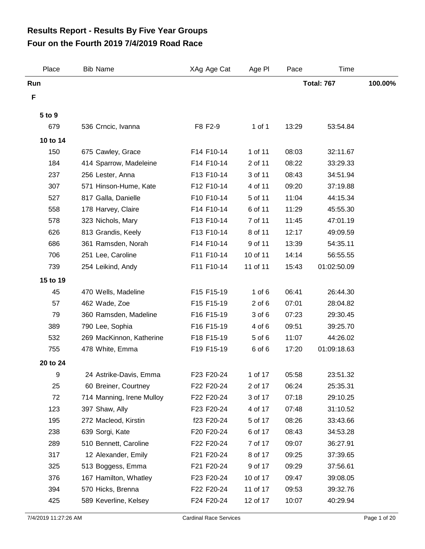## **Four on the Fourth 2019 7/4/2019 Road Race Results Report - Results By Five Year Groups**

| Place    | <b>Bib Name</b>           | XAg Age Cat | Age PI     | Pace              | Time        |         |
|----------|---------------------------|-------------|------------|-------------------|-------------|---------|
| Run      |                           |             |            | <b>Total: 767</b> |             | 100.00% |
| F        |                           |             |            |                   |             |         |
| 5 to 9   |                           |             |            |                   |             |         |
| 679      | 536 Crncic, Ivanna        | F8 F2-9     | 1 of 1     | 13:29             | 53:54.84    |         |
| 10 to 14 |                           |             |            |                   |             |         |
| 150      | 675 Cawley, Grace         | F14 F10-14  | 1 of 11    | 08:03             | 32:11.67    |         |
| 184      | 414 Sparrow, Madeleine    | F14 F10-14  | 2 of 11    | 08:22             | 33:29.33    |         |
| 237      | 256 Lester, Anna          | F13 F10-14  | 3 of 11    | 08:43             | 34:51.94    |         |
| 307      | 571 Hinson-Hume, Kate     | F12 F10-14  | 4 of 11    | 09:20             | 37:19.88    |         |
| 527      | 817 Galla, Danielle       | F10 F10-14  | 5 of 11    | 11:04             | 44:15.34    |         |
| 558      | 178 Harvey, Claire        | F14 F10-14  | 6 of 11    | 11:29             | 45:55.30    |         |
| 578      | 323 Nichols, Mary         | F13 F10-14  | 7 of 11    | 11:45             | 47:01.19    |         |
| 626      | 813 Grandis, Keely        | F13 F10-14  | 8 of 11    | 12:17             | 49:09.59    |         |
| 686      | 361 Ramsden, Norah        | F14 F10-14  | 9 of 11    | 13:39             | 54:35.11    |         |
| 706      | 251 Lee, Caroline         | F11 F10-14  | 10 of 11   | 14:14             | 56:55.55    |         |
| 739      | 254 Leikind, Andy         | F11 F10-14  | 11 of 11   | 15:43             | 01:02:50.09 |         |
| 15 to 19 |                           |             |            |                   |             |         |
| 45       | 470 Wells, Madeline       | F15 F15-19  | $1$ of $6$ | 06:41             | 26:44.30    |         |
| 57       | 462 Wade, Zoe             | F15 F15-19  | $2$ of $6$ | 07:01             | 28:04.82    |         |
| 79       | 360 Ramsden, Madeline     | F16 F15-19  | 3 of 6     | 07:23             | 29:30.45    |         |
| 389      | 790 Lee, Sophia           | F16 F15-19  | 4 of 6     | 09:51             | 39:25.70    |         |
| 532      | 269 MacKinnon, Katherine  | F18 F15-19  | 5 of 6     | 11:07             | 44:26.02    |         |
| 755      | 478 White, Emma           | F19 F15-19  | 6 of 6     | 17:20             | 01:09:18.63 |         |
| 20 to 24 |                           |             |            |                   |             |         |
| 9        | 24 Astrike-Davis, Emma    | F23 F20-24  | 1 of 17    | 05:58             | 23:51.32    |         |
| 25       | 60 Breiner, Courtney      | F22 F20-24  | 2 of 17    | 06:24             | 25:35.31    |         |
| 72       | 714 Manning, Irene Mulloy | F22 F20-24  | 3 of 17    | 07:18             | 29:10.25    |         |
| 123      | 397 Shaw, Ally            | F23 F20-24  | 4 of 17    | 07:48             | 31:10.52    |         |
| 195      | 272 Macleod, Kirstin      | f23 F20-24  | 5 of 17    | 08:26             | 33:43.66    |         |
| 238      | 639 Sorgi, Kate           | F20 F20-24  | 6 of 17    | 08:43             | 34:53.28    |         |
| 289      | 510 Bennett, Caroline     | F22 F20-24  | 7 of 17    | 09:07             | 36:27.91    |         |
| 317      | 12 Alexander, Emily       | F21 F20-24  | 8 of 17    | 09:25             | 37:39.65    |         |
| 325      | 513 Boggess, Emma         | F21 F20-24  | 9 of 17    | 09:29             | 37:56.61    |         |
| 376      | 167 Hamilton, Whatley     | F23 F20-24  | 10 of 17   | 09:47             | 39:08.05    |         |
| 394      | 570 Hicks, Brenna         | F22 F20-24  | 11 of 17   | 09:53             | 39:32.76    |         |
| 425      | 589 Keverline, Kelsey     | F24 F20-24  | 12 of 17   | 10:07             | 40:29.94    |         |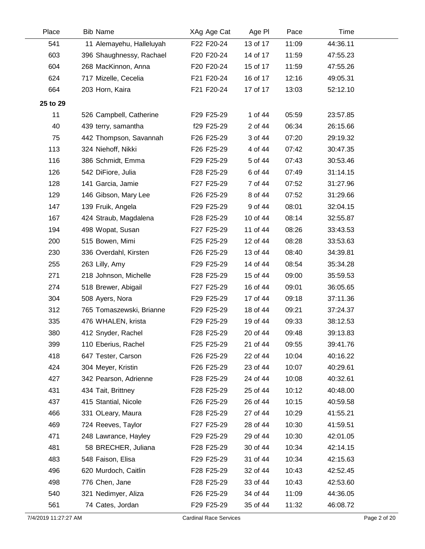| Place    | <b>Bib Name</b>          | XAg Age Cat | Age PI   | Pace  | Time     |  |
|----------|--------------------------|-------------|----------|-------|----------|--|
| 541      | 11 Alemayehu, Halleluyah | F22 F20-24  | 13 of 17 | 11:09 | 44:36.11 |  |
| 603      | 396 Shaughnessy, Rachael | F20 F20-24  | 14 of 17 | 11:59 | 47:55.23 |  |
| 604      | 268 MacKinnon, Anna      | F20 F20-24  | 15 of 17 | 11:59 | 47:55.26 |  |
| 624      | 717 Mizelle, Cecelia     | F21 F20-24  | 16 of 17 | 12:16 | 49:05.31 |  |
| 664      | 203 Horn, Kaira          | F21 F20-24  | 17 of 17 | 13:03 | 52:12.10 |  |
| 25 to 29 |                          |             |          |       |          |  |
| 11       | 526 Campbell, Catherine  | F29 F25-29  | 1 of 44  | 05:59 | 23:57.85 |  |
| 40       | 439 terry, samantha      | f29 F25-29  | 2 of 44  | 06:34 | 26:15.66 |  |
| 75       | 442 Thompson, Savannah   | F26 F25-29  | 3 of 44  | 07:20 | 29:19.32 |  |
| 113      | 324 Niehoff, Nikki       | F26 F25-29  | 4 of 44  | 07:42 | 30:47.35 |  |
| 116      | 386 Schmidt, Emma        | F29 F25-29  | 5 of 44  | 07:43 | 30:53.46 |  |
| 126      | 542 DiFiore, Julia       | F28 F25-29  | 6 of 44  | 07:49 | 31:14.15 |  |
| 128      | 141 Garcia, Jamie        | F27 F25-29  | 7 of 44  | 07:52 | 31:27.96 |  |
| 129      | 146 Gibson, Mary Lee     | F26 F25-29  | 8 of 44  | 07:52 | 31:29.66 |  |
| 147      | 139 Fruik, Angela        | F29 F25-29  | 9 of 44  | 08:01 | 32:04.15 |  |
| 167      | 424 Straub, Magdalena    | F28 F25-29  | 10 of 44 | 08:14 | 32:55.87 |  |
| 194      | 498 Wopat, Susan         | F27 F25-29  | 11 of 44 | 08:26 | 33:43.53 |  |
| 200      | 515 Bowen, Mimi          | F25 F25-29  | 12 of 44 | 08:28 | 33:53.63 |  |
| 230      | 336 Overdahl, Kirsten    | F26 F25-29  | 13 of 44 | 08:40 | 34:39.81 |  |
| 255      | 263 Lilly, Amy           | F29 F25-29  | 14 of 44 | 08:54 | 35:34.28 |  |
| 271      | 218 Johnson, Michelle    | F28 F25-29  | 15 of 44 | 09:00 | 35:59.53 |  |
| 274      | 518 Brewer, Abigail      | F27 F25-29  | 16 of 44 | 09:01 | 36:05.65 |  |
| 304      | 508 Ayers, Nora          | F29 F25-29  | 17 of 44 | 09:18 | 37:11.36 |  |
| 312      | 765 Tomaszewski, Brianne | F29 F25-29  | 18 of 44 | 09:21 | 37:24.37 |  |
| 335      | 476 WHALEN, krista       | F29 F25-29  | 19 of 44 | 09:33 | 38:12.53 |  |
| 380      | 412 Snyder, Rachel       | F28 F25-29  | 20 of 44 | 09:48 | 39:13.83 |  |
| 399      | 110 Eberius, Rachel      | F25 F25-29  | 21 of 44 | 09:55 | 39:41.76 |  |
| 418      | 647 Tester, Carson       | F26 F25-29  | 22 of 44 | 10:04 | 40:16.22 |  |
| 424      | 304 Meyer, Kristin       | F26 F25-29  | 23 of 44 | 10:07 | 40:29.61 |  |
| 427      | 342 Pearson, Adrienne    | F28 F25-29  | 24 of 44 | 10:08 | 40:32.61 |  |
| 431      | 434 Tait, Brittney       | F28 F25-29  | 25 of 44 | 10:12 | 40:48.00 |  |
| 437      | 415 Stantial, Nicole     | F26 F25-29  | 26 of 44 | 10:15 | 40:59.58 |  |
| 466      | 331 OLeary, Maura        | F28 F25-29  | 27 of 44 | 10:29 | 41:55.21 |  |
| 469      | 724 Reeves, Taylor       | F27 F25-29  | 28 of 44 | 10:30 | 41:59.51 |  |
| 471      | 248 Lawrance, Hayley     | F29 F25-29  | 29 of 44 | 10:30 | 42:01.05 |  |
| 481      | 58 BRECHER, Juliana      | F28 F25-29  | 30 of 44 | 10:34 | 42:14.15 |  |
| 483      | 548 Faison, Elisa        | F29 F25-29  | 31 of 44 | 10:34 | 42:15.63 |  |
| 496      | 620 Murdoch, Caitlin     | F28 F25-29  | 32 of 44 | 10:43 | 42:52.45 |  |
| 498      | 776 Chen, Jane           | F28 F25-29  | 33 of 44 | 10:43 | 42:53.60 |  |
| 540      | 321 Nedimyer, Aliza      | F26 F25-29  | 34 of 44 | 11:09 | 44:36.05 |  |
| 561      | 74 Cates, Jordan         | F29 F25-29  | 35 of 44 | 11:32 | 46:08.72 |  |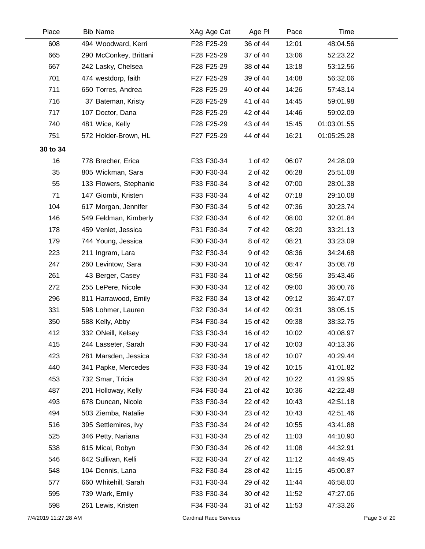| Place    | <b>Bib Name</b>        | XAg Age Cat | Age PI   | Pace  | Time        |  |
|----------|------------------------|-------------|----------|-------|-------------|--|
| 608      | 494 Woodward, Kerri    | F28 F25-29  | 36 of 44 | 12:01 | 48:04.56    |  |
| 665      | 290 McConkey, Brittani | F28 F25-29  | 37 of 44 | 13:06 | 52:23.22    |  |
| 667      | 242 Lasky, Chelsea     | F28 F25-29  | 38 of 44 | 13:18 | 53:12.56    |  |
| 701      | 474 westdorp, faith    | F27 F25-29  | 39 of 44 | 14:08 | 56:32.06    |  |
| 711      | 650 Torres, Andrea     | F28 F25-29  | 40 of 44 | 14:26 | 57:43.14    |  |
| 716      | 37 Bateman, Kristy     | F28 F25-29  | 41 of 44 | 14:45 | 59:01.98    |  |
| 717      | 107 Doctor, Dana       | F28 F25-29  | 42 of 44 | 14:46 | 59:02.09    |  |
| 740      | 481 Wice, Kelly        | F28 F25-29  | 43 of 44 | 15:45 | 01:03:01.55 |  |
| 751      | 572 Holder-Brown, HL   | F27 F25-29  | 44 of 44 | 16:21 | 01:05:25.28 |  |
| 30 to 34 |                        |             |          |       |             |  |
| 16       | 778 Brecher, Erica     | F33 F30-34  | 1 of 42  | 06:07 | 24:28.09    |  |
| 35       | 805 Wickman, Sara      | F30 F30-34  | 2 of 42  | 06:28 | 25:51.08    |  |
| 55       | 133 Flowers, Stephanie | F33 F30-34  | 3 of 42  | 07:00 | 28:01.38    |  |
| 71       | 147 Giombi, Kristen    | F33 F30-34  | 4 of 42  | 07:18 | 29:10.08    |  |
| 104      | 617 Morgan, Jennifer   | F30 F30-34  | 5 of 42  | 07:36 | 30:23.74    |  |
| 146      | 549 Feldman, Kimberly  | F32 F30-34  | 6 of 42  | 08:00 | 32:01.84    |  |
| 178      | 459 Venlet, Jessica    | F31 F30-34  | 7 of 42  | 08:20 | 33:21.13    |  |
| 179      | 744 Young, Jessica     | F30 F30-34  | 8 of 42  | 08:21 | 33:23.09    |  |
| 223      | 211 Ingram, Lara       | F32 F30-34  | 9 of 42  | 08:36 | 34:24.68    |  |
| 247      | 260 Levintow, Sara     | F30 F30-34  | 10 of 42 | 08:47 | 35:08.78    |  |
| 261      | 43 Berger, Casey       | F31 F30-34  | 11 of 42 | 08:56 | 35:43.46    |  |
| 272      | 255 LePere, Nicole     | F30 F30-34  | 12 of 42 | 09:00 | 36:00.76    |  |
| 296      | 811 Harrawood, Emily   | F32 F30-34  | 13 of 42 | 09:12 | 36:47.07    |  |
| 331      | 598 Lohmer, Lauren     | F32 F30-34  | 14 of 42 | 09:31 | 38:05.15    |  |
| 350      | 588 Kelly, Abby        | F34 F30-34  | 15 of 42 | 09:38 | 38:32.75    |  |
| 412      | 332 ONeill, Kelsey     | F33 F30-34  | 16 of 42 | 10:02 | 40:08.97    |  |
| 415      | 244 Lasseter, Sarah    | F30 F30-34  | 17 of 42 | 10:03 | 40:13.36    |  |
| 423      | 281 Marsden, Jessica   | F32 F30-34  | 18 of 42 | 10:07 | 40:29.44    |  |
| 440      | 341 Papke, Mercedes    | F33 F30-34  | 19 of 42 | 10:15 | 41:01.82    |  |
| 453      | 732 Smar, Tricia       | F32 F30-34  | 20 of 42 | 10:22 | 41:29.95    |  |
| 487      | 201 Holloway, Kelly    | F34 F30-34  | 21 of 42 | 10:36 | 42:22.48    |  |
| 493      | 678 Duncan, Nicole     | F33 F30-34  | 22 of 42 | 10:43 | 42:51.18    |  |
| 494      | 503 Ziemba, Natalie    | F30 F30-34  | 23 of 42 | 10:43 | 42:51.46    |  |
| 516      | 395 Settlemires, Ivy   | F33 F30-34  | 24 of 42 | 10:55 | 43:41.88    |  |
| 525      | 346 Petty, Nariana     | F31 F30-34  | 25 of 42 | 11:03 | 44:10.90    |  |
| 538      | 615 Mical, Robyn       | F30 F30-34  | 26 of 42 | 11:08 | 44:32.91    |  |
| 546      | 642 Sullivan, Kelli    | F32 F30-34  | 27 of 42 | 11:12 | 44:49.45    |  |
| 548      | 104 Dennis, Lana       | F32 F30-34  | 28 of 42 | 11:15 | 45:00.87    |  |
| 577      | 660 Whitehill, Sarah   | F31 F30-34  | 29 of 42 | 11:44 | 46:58.00    |  |
| 595      | 739 Wark, Emily        | F33 F30-34  | 30 of 42 | 11:52 | 47:27.06    |  |
| 598      | 261 Lewis, Kristen     | F34 F30-34  | 31 of 42 | 11:53 | 47:33.26    |  |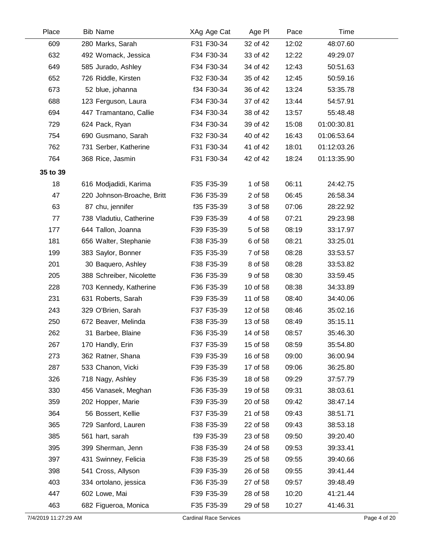| Place    | <b>Bib Name</b>            | XAg Age Cat | Age PI   | Pace  | Time        |  |
|----------|----------------------------|-------------|----------|-------|-------------|--|
| 609      | 280 Marks, Sarah           | F31 F30-34  | 32 of 42 | 12:02 | 48:07.60    |  |
| 632      | 492 Womack, Jessica        | F34 F30-34  | 33 of 42 | 12:22 | 49:29.07    |  |
| 649      | 585 Jurado, Ashley         | F34 F30-34  | 34 of 42 | 12:43 | 50:51.63    |  |
| 652      | 726 Riddle, Kirsten        | F32 F30-34  | 35 of 42 | 12:45 | 50:59.16    |  |
| 673      | 52 blue, johanna           | f34 F30-34  | 36 of 42 | 13:24 | 53:35.78    |  |
| 688      | 123 Ferguson, Laura        | F34 F30-34  | 37 of 42 | 13:44 | 54:57.91    |  |
| 694      | 447 Tramantano, Callie     | F34 F30-34  | 38 of 42 | 13:57 | 55:48.48    |  |
| 729      | 624 Pack, Ryan             | F34 F30-34  | 39 of 42 | 15:08 | 01:00:30.81 |  |
| 754      | 690 Gusmano, Sarah         | F32 F30-34  | 40 of 42 | 16:43 | 01:06:53.64 |  |
| 762      | 731 Serber, Katherine      | F31 F30-34  | 41 of 42 | 18:01 | 01:12:03.26 |  |
| 764      | 368 Rice, Jasmin           | F31 F30-34  | 42 of 42 | 18:24 | 01:13:35.90 |  |
| 35 to 39 |                            |             |          |       |             |  |
| 18       | 616 Modjadidi, Karima      | F35 F35-39  | 1 of 58  | 06:11 | 24:42.75    |  |
| 47       | 220 Johnson-Broache, Britt | F36 F35-39  | 2 of 58  | 06:45 | 26:58.34    |  |
| 63       | 87 chu, jennifer           | f35 F35-39  | 3 of 58  | 07:06 | 28:22.92    |  |
| 77       | 738 Vladutiu, Catherine    | F39 F35-39  | 4 of 58  | 07:21 | 29:23.98    |  |
| 177      | 644 Tallon, Joanna         | F39 F35-39  | 5 of 58  | 08:19 | 33:17.97    |  |
| 181      | 656 Walter, Stephanie      | F38 F35-39  | 6 of 58  | 08:21 | 33:25.01    |  |
| 199      | 383 Saylor, Bonner         | F35 F35-39  | 7 of 58  | 08:28 | 33:53.57    |  |
| 201      | 30 Baquero, Ashley         | F38 F35-39  | 8 of 58  | 08:28 | 33:53.82    |  |
| 205      | 388 Schreiber, Nicolette   | F36 F35-39  | 9 of 58  | 08:30 | 33:59.45    |  |
| 228      | 703 Kennedy, Katherine     | F36 F35-39  | 10 of 58 | 08:38 | 34:33.89    |  |
| 231      | 631 Roberts, Sarah         | F39 F35-39  | 11 of 58 | 08:40 | 34:40.06    |  |
| 243      | 329 O'Brien, Sarah         | F37 F35-39  | 12 of 58 | 08:46 | 35:02.16    |  |
| 250      | 672 Beaver, Melinda        | F38 F35-39  | 13 of 58 | 08:49 | 35:15.11    |  |
| 262      | 31 Barbee, Blaine          | F36 F35-39  | 14 of 58 | 08:57 | 35:46.30    |  |
| 267      | 170 Handly, Erin           | F37 F35-39  | 15 of 58 | 08:59 | 35:54.80    |  |
| 273      | 362 Ratner, Shana          | F39 F35-39  | 16 of 58 | 09:00 | 36:00.94    |  |
| 287      | 533 Chanon, Vicki          | F39 F35-39  | 17 of 58 | 09:06 | 36:25.80    |  |
| 326      | 718 Nagy, Ashley           | F36 F35-39  | 18 of 58 | 09:29 | 37:57.79    |  |
| 330      | 456 Vanasek, Meghan        | F36 F35-39  | 19 of 58 | 09:31 | 38:03.61    |  |
| 359      | 202 Hopper, Marie          | F39 F35-39  | 20 of 58 | 09:42 | 38:47.14    |  |
| 364      | 56 Bossert, Kellie         | F37 F35-39  | 21 of 58 | 09:43 | 38:51.71    |  |
| 365      | 729 Sanford, Lauren        | F38 F35-39  | 22 of 58 | 09:43 | 38:53.18    |  |
| 385      | 561 hart, sarah            | f39 F35-39  | 23 of 58 | 09:50 | 39:20.40    |  |
| 395      | 399 Sherman, Jenn          | F38 F35-39  | 24 of 58 | 09:53 | 39:33.41    |  |
| 397      | 431 Swinney, Felicia       | F38 F35-39  | 25 of 58 | 09:55 | 39:40.66    |  |
| 398      | 541 Cross, Allyson         | F39 F35-39  | 26 of 58 | 09:55 | 39:41.44    |  |
| 403      | 334 ortolano, jessica      | F36 F35-39  | 27 of 58 | 09:57 | 39:48.49    |  |
| 447      | 602 Lowe, Mai              | F39 F35-39  | 28 of 58 | 10:20 | 41:21.44    |  |
| 463      | 682 Figueroa, Monica       | F35 F35-39  | 29 of 58 | 10:27 | 41:46.31    |  |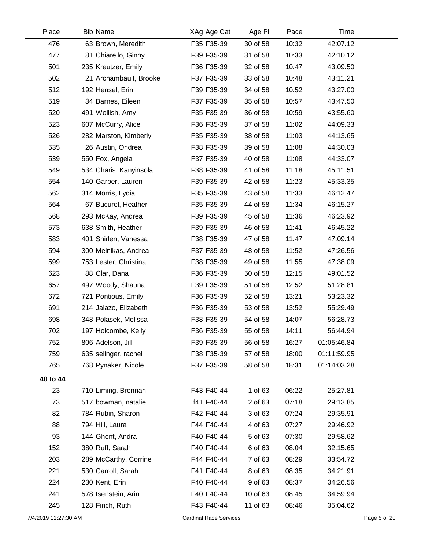| Place                | <b>Bib Name</b>        | XAg Age Cat                   | Age PI   | Pace  | Time        |              |
|----------------------|------------------------|-------------------------------|----------|-------|-------------|--------------|
| 476                  | 63 Brown, Meredith     | F35 F35-39                    | 30 of 58 | 10:32 | 42:07.12    |              |
| 477                  | 81 Chiarello, Ginny    | F39 F35-39                    | 31 of 58 | 10:33 | 42:10.12    |              |
| 501                  | 235 Kreutzer, Emily    | F36 F35-39                    | 32 of 58 | 10:47 | 43:09.50    |              |
| 502                  | 21 Archambault, Brooke | F37 F35-39                    | 33 of 58 | 10:48 | 43:11.21    |              |
| 512                  | 192 Hensel, Erin       | F39 F35-39                    | 34 of 58 | 10:52 | 43:27.00    |              |
| 519                  | 34 Barnes, Eileen      | F37 F35-39                    | 35 of 58 | 10:57 | 43:47.50    |              |
| 520                  | 491 Wollish, Amy       | F35 F35-39                    | 36 of 58 | 10:59 | 43:55.60    |              |
| 523                  | 607 McCurry, Alice     | F36 F35-39                    | 37 of 58 | 11:02 | 44:09.33    |              |
| 526                  | 282 Marston, Kimberly  | F35 F35-39                    | 38 of 58 | 11:03 | 44:13.65    |              |
| 535                  | 26 Austin, Ondrea      | F38 F35-39                    | 39 of 58 | 11:08 | 44:30.03    |              |
| 539                  | 550 Fox, Angela        | F37 F35-39                    | 40 of 58 | 11:08 | 44:33.07    |              |
| 549                  | 534 Charis, Kanyinsola | F38 F35-39                    | 41 of 58 | 11:18 | 45:11.51    |              |
| 554                  | 140 Garber, Lauren     | F39 F35-39                    | 42 of 58 | 11:23 | 45:33.35    |              |
| 562                  | 314 Morris, Lydia      | F35 F35-39                    | 43 of 58 | 11:33 | 46:12.47    |              |
| 564                  | 67 Bucurel, Heather    | F35 F35-39                    | 44 of 58 | 11:34 | 46:15.27    |              |
| 568                  | 293 McKay, Andrea      | F39 F35-39                    | 45 of 58 | 11:36 | 46:23.92    |              |
| 573                  | 638 Smith, Heather     | F39 F35-39                    | 46 of 58 | 11:41 | 46:45.22    |              |
| 583                  | 401 Shirlen, Vanessa   | F38 F35-39                    | 47 of 58 | 11:47 | 47:09.14    |              |
| 594                  | 300 Melnikas, Andrea   | F37 F35-39                    | 48 of 58 | 11:52 | 47:26.56    |              |
| 599                  | 753 Lester, Christina  | F38 F35-39                    | 49 of 58 | 11:55 | 47:38.09    |              |
| 623                  | 88 Clar, Dana          | F36 F35-39                    | 50 of 58 | 12:15 | 49:01.52    |              |
| 657                  | 497 Woody, Shauna      | F39 F35-39                    | 51 of 58 | 12:52 | 51:28.81    |              |
| 672                  | 721 Pontious, Emily    | F36 F35-39                    | 52 of 58 | 13:21 | 53:23.32    |              |
| 691                  | 214 Jalazo, Elizabeth  | F36 F35-39                    | 53 of 58 | 13:52 | 55:29.49    |              |
| 698                  | 348 Polasek, Melissa   | F38 F35-39                    | 54 of 58 | 14:07 | 56:28.73    |              |
| 702                  | 197 Holcombe, Kelly    | F36 F35-39                    | 55 of 58 | 14:11 | 56:44.94    |              |
| 752                  | 806 Adelson, Jill      | F39 F35-39                    | 56 of 58 | 16:27 | 01:05:46.84 |              |
| 759                  | 635 selinger, rachel   | F38 F35-39                    | 57 of 58 | 18:00 | 01:11:59.95 |              |
| 765                  | 768 Pynaker, Nicole    | F37 F35-39                    | 58 of 58 | 18:31 | 01:14:03.28 |              |
| 40 to 44             |                        |                               |          |       |             |              |
| 23                   | 710 Liming, Brennan    | F43 F40-44                    | 1 of 63  | 06:22 | 25:27.81    |              |
| 73                   | 517 bowman, natalie    | f41 F40-44                    | 2 of 63  | 07:18 | 29:13.85    |              |
| 82                   | 784 Rubin, Sharon      | F42 F40-44                    | 3 of 63  | 07:24 | 29:35.91    |              |
| 88                   | 794 Hill, Laura        | F44 F40-44                    | 4 of 63  | 07:27 | 29:46.92    |              |
| 93                   | 144 Ghent, Andra       | F40 F40-44                    | 5 of 63  | 07:30 | 29:58.62    |              |
| 152                  | 380 Ruff, Sarah        | F40 F40-44                    | 6 of 63  | 08:04 | 32:15.65    |              |
| 203                  | 289 McCarthy, Corrine  | F44 F40-44                    | 7 of 63  | 08:29 | 33:54.72    |              |
| 221                  | 530 Carroll, Sarah     | F41 F40-44                    | 8 of 63  | 08:35 | 34:21.91    |              |
| 224                  | 230 Kent, Erin         | F40 F40-44                    | 9 of 63  | 08:37 | 34:26.56    |              |
| 241                  | 578 Isenstein, Arin    | F40 F40-44                    | 10 of 63 | 08:45 | 34:59.94    |              |
| 245                  | 128 Finch, Ruth        | F43 F40-44                    | 11 of 63 | 08:46 | 35:04.62    |              |
| 7/4/2019 11:27:30 AM |                        | <b>Cardinal Race Services</b> |          |       |             | Page 5 of 20 |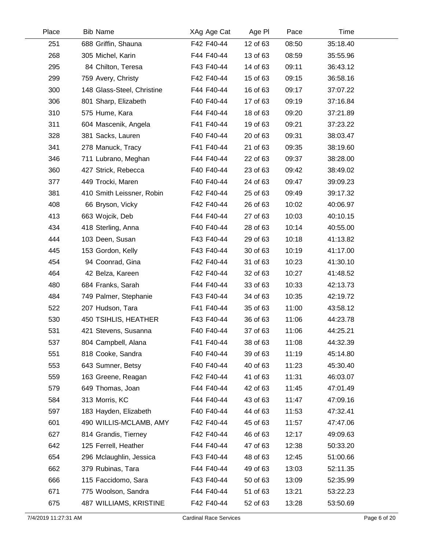| Place | <b>Bib Name</b>            | XAg Age Cat | Age PI   | Pace  | Time     |  |
|-------|----------------------------|-------------|----------|-------|----------|--|
| 251   | 688 Griffin, Shauna        | F42 F40-44  | 12 of 63 | 08:50 | 35:18.40 |  |
| 268   | 305 Michel, Karin          | F44 F40-44  | 13 of 63 | 08:59 | 35:55.96 |  |
| 295   | 84 Chilton, Teresa         | F43 F40-44  | 14 of 63 | 09:11 | 36:43.12 |  |
| 299   | 759 Avery, Christy         | F42 F40-44  | 15 of 63 | 09:15 | 36:58.16 |  |
| 300   | 148 Glass-Steel, Christine | F44 F40-44  | 16 of 63 | 09:17 | 37:07.22 |  |
| 306   | 801 Sharp, Elizabeth       | F40 F40-44  | 17 of 63 | 09:19 | 37:16.84 |  |
| 310   | 575 Hume, Kara             | F44 F40-44  | 18 of 63 | 09:20 | 37:21.89 |  |
| 311   | 604 Mascenik, Angela       | F41 F40-44  | 19 of 63 | 09:21 | 37:23.22 |  |
| 328   | 381 Sacks, Lauren          | F40 F40-44  | 20 of 63 | 09:31 | 38:03.47 |  |
| 341   | 278 Manuck, Tracy          | F41 F40-44  | 21 of 63 | 09:35 | 38:19.60 |  |
| 346   | 711 Lubrano, Meghan        | F44 F40-44  | 22 of 63 | 09:37 | 38:28.00 |  |
| 360   | 427 Strick, Rebecca        | F40 F40-44  | 23 of 63 | 09:42 | 38:49.02 |  |
| 377   | 449 Trocki, Maren          | F40 F40-44  | 24 of 63 | 09:47 | 39:09.23 |  |
| 381   | 410 Smith Leissner, Robin  | F42 F40-44  | 25 of 63 | 09:49 | 39:17.32 |  |
| 408   | 66 Bryson, Vicky           | F42 F40-44  | 26 of 63 | 10:02 | 40:06.97 |  |
| 413   | 663 Wojcik, Deb            | F44 F40-44  | 27 of 63 | 10:03 | 40:10.15 |  |
| 434   | 418 Sterling, Anna         | F40 F40-44  | 28 of 63 | 10:14 | 40:55.00 |  |
| 444   | 103 Deen, Susan            | F43 F40-44  | 29 of 63 | 10:18 | 41:13.82 |  |
| 445   | 153 Gordon, Kelly          | F43 F40-44  | 30 of 63 | 10:19 | 41:17.00 |  |
| 454   | 94 Coonrad, Gina           | F42 F40-44  | 31 of 63 | 10:23 | 41:30.10 |  |
| 464   | 42 Belza, Kareen           | F42 F40-44  | 32 of 63 | 10:27 | 41:48.52 |  |
| 480   | 684 Franks, Sarah          | F44 F40-44  | 33 of 63 | 10:33 | 42:13.73 |  |
| 484   | 749 Palmer, Stephanie      | F43 F40-44  | 34 of 63 | 10:35 | 42:19.72 |  |
| 522   | 207 Hudson, Tara           | F41 F40-44  | 35 of 63 | 11:00 | 43:58.12 |  |
| 530   | 450 TSIHLIS, HEATHER       | F43 F40-44  | 36 of 63 | 11:06 | 44:23.78 |  |
| 531   | 421 Stevens, Susanna       | F40 F40-44  | 37 of 63 | 11:06 | 44:25.21 |  |
| 537   | 804 Campbell, Alana        | F41 F40-44  | 38 of 63 | 11:08 | 44:32.39 |  |
| 551   | 818 Cooke, Sandra          | F40 F40-44  | 39 of 63 | 11:19 | 45:14.80 |  |
| 553   | 643 Sumner, Betsy          | F40 F40-44  | 40 of 63 | 11:23 | 45:30.40 |  |
| 559   | 163 Greene, Reagan         | F42 F40-44  | 41 of 63 | 11:31 | 46:03.07 |  |
| 579   | 649 Thomas, Joan           | F44 F40-44  | 42 of 63 | 11:45 | 47:01.49 |  |
| 584   | 313 Morris, KC             | F44 F40-44  | 43 of 63 | 11:47 | 47:09.16 |  |
| 597   | 183 Hayden, Elizabeth      | F40 F40-44  | 44 of 63 | 11:53 | 47:32.41 |  |
| 601   | 490 WILLIS-MCLAMB, AMY     | F42 F40-44  | 45 of 63 | 11:57 | 47:47.06 |  |
| 627   | 814 Grandis, Tierney       | F42 F40-44  | 46 of 63 | 12:17 | 49:09.63 |  |
| 642   | 125 Ferrell, Heather       | F44 F40-44  | 47 of 63 | 12:38 | 50:33.20 |  |
| 654   | 296 Mclaughlin, Jessica    | F43 F40-44  | 48 of 63 | 12:45 | 51:00.66 |  |
| 662   | 379 Rubinas, Tara          | F44 F40-44  | 49 of 63 | 13:03 | 52:11.35 |  |
| 666   | 115 Faccidomo, Sara        | F43 F40-44  | 50 of 63 | 13:09 | 52:35.99 |  |
| 671   | 775 Woolson, Sandra        | F44 F40-44  | 51 of 63 | 13:21 | 53:22.23 |  |
| 675   | 487 WILLIAMS, KRISTINE     | F42 F40-44  | 52 of 63 | 13:28 | 53:50.69 |  |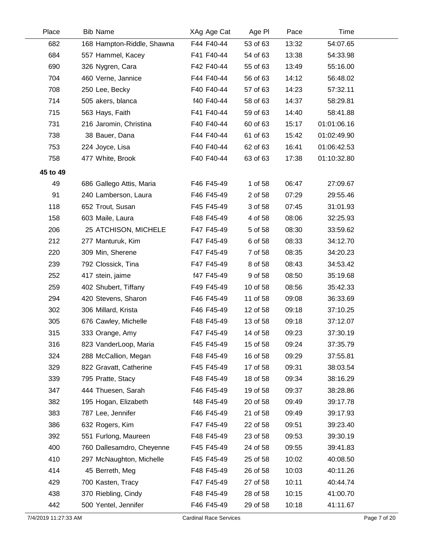| Place    | <b>Bib Name</b>            | XAg Age Cat | Age PI   | Pace  | Time        |  |
|----------|----------------------------|-------------|----------|-------|-------------|--|
| 682      | 168 Hampton-Riddle, Shawna | F44 F40-44  | 53 of 63 | 13:32 | 54:07.65    |  |
| 684      | 557 Hammel, Kacey          | F41 F40-44  | 54 of 63 | 13:38 | 54:33.98    |  |
| 690      | 326 Nygren, Cara           | F42 F40-44  | 55 of 63 | 13:49 | 55:16.00    |  |
| 704      | 460 Verne, Jannice         | F44 F40-44  | 56 of 63 | 14:12 | 56:48.02    |  |
| 708      | 250 Lee, Becky             | F40 F40-44  | 57 of 63 | 14:23 | 57:32.11    |  |
| 714      | 505 akers, blanca          | f40 F40-44  | 58 of 63 | 14:37 | 58:29.81    |  |
| 715      | 563 Hays, Faith            | F41 F40-44  | 59 of 63 | 14:40 | 58:41.88    |  |
| 731      | 216 Jaromin, Christina     | F40 F40-44  | 60 of 63 | 15:17 | 01:01:06.16 |  |
| 738      | 38 Bauer, Dana             | F44 F40-44  | 61 of 63 | 15:42 | 01:02:49.90 |  |
| 753      | 224 Joyce, Lisa            | F40 F40-44  | 62 of 63 | 16:41 | 01:06:42.53 |  |
| 758      | 477 White, Brook           | F40 F40-44  | 63 of 63 | 17:38 | 01:10:32.80 |  |
| 45 to 49 |                            |             |          |       |             |  |
| 49       | 686 Gallego Attis, Maria   | F46 F45-49  | 1 of 58  | 06:47 | 27:09.67    |  |
| 91       | 240 Lamberson, Laura       | F46 F45-49  | 2 of 58  | 07:29 | 29:55.46    |  |
| 118      | 652 Trout, Susan           | F45 F45-49  | 3 of 58  | 07:45 | 31:01.93    |  |
| 158      | 603 Maile, Laura           | F48 F45-49  | 4 of 58  | 08:06 | 32:25.93    |  |
| 206      | 25 ATCHISON, MICHELE       | F47 F45-49  | 5 of 58  | 08:30 | 33:59.62    |  |
| 212      | 277 Manturuk, Kim          | F47 F45-49  | 6 of 58  | 08:33 | 34:12.70    |  |
| 220      | 309 Min, Sherene           | F47 F45-49  | 7 of 58  | 08:35 | 34:20.23    |  |
| 239      | 792 Clossick, Tina         | F47 F45-49  | 8 of 58  | 08:43 | 34:53.42    |  |
| 252      | 417 stein, jaime           | f47 F45-49  | 9 of 58  | 08:50 | 35:19.68    |  |
| 259      | 402 Shubert, Tiffany       | F49 F45-49  | 10 of 58 | 08:56 | 35:42.33    |  |
| 294      | 420 Stevens, Sharon        | F46 F45-49  | 11 of 58 | 09:08 | 36:33.69    |  |
| 302      | 306 Millard, Krista        | F46 F45-49  | 12 of 58 | 09:18 | 37:10.25    |  |
| 305      | 676 Cawley, Michelle       | F48 F45-49  | 13 of 58 | 09:18 | 37:12.07    |  |
| 315      | 333 Orange, Amy            | F47 F45-49  | 14 of 58 | 09:23 | 37:30.19    |  |
| 316      | 823 VanderLoop, Maria      | F45 F45-49  | 15 of 58 | 09:24 | 37:35.79    |  |
| 324      | 288 McCallion, Megan       | F48 F45-49  | 16 of 58 | 09:29 | 37:55.81    |  |
| 329      | 822 Gravatt, Catherine     | F45 F45-49  | 17 of 58 | 09:31 | 38:03.54    |  |
| 339      | 795 Pratte, Stacy          | F48 F45-49  | 18 of 58 | 09:34 | 38:16.29    |  |
| 347      | 444 Thuesen, Sarah         | F46 F45-49  | 19 of 58 | 09:37 | 38:28.86    |  |
| 382      | 195 Hogan, Elizabeth       | f48 F45-49  | 20 of 58 | 09:49 | 39:17.78    |  |
| 383      | 787 Lee, Jennifer          | F46 F45-49  | 21 of 58 | 09:49 | 39:17.93    |  |
| 386      | 632 Rogers, Kim            | F47 F45-49  | 22 of 58 | 09:51 | 39:23.40    |  |
| 392      | 551 Furlong, Maureen       | F48 F45-49  | 23 of 58 | 09:53 | 39:30.19    |  |
| 400      | 760 Dallesamdro, Cheyenne  | F45 F45-49  | 24 of 58 | 09:55 | 39:41.83    |  |
| 410      | 297 McNaughton, Michelle   | F45 F45-49  | 25 of 58 | 10:02 | 40:08.50    |  |
| 414      | 45 Berreth, Meg            | F48 F45-49  | 26 of 58 | 10:03 | 40:11.26    |  |
| 429      | 700 Kasten, Tracy          | F47 F45-49  | 27 of 58 | 10:11 | 40:44.74    |  |
| 438      | 370 Riebling, Cindy        | F48 F45-49  | 28 of 58 | 10:15 | 41:00.70    |  |
| 442      | 500 Yentel, Jennifer       | F46 F45-49  | 29 of 58 | 10:18 | 41:11.67    |  |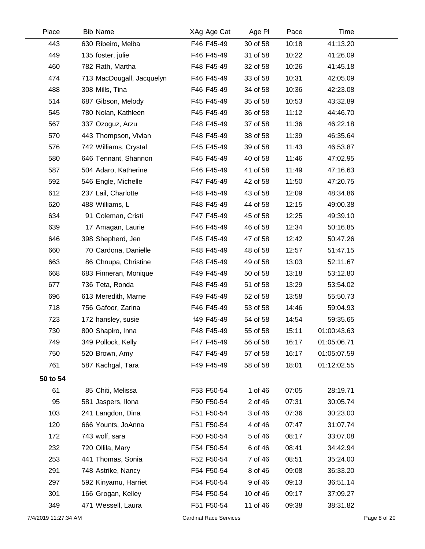| Place                | <b>Bib Name</b>           | XAg Age Cat                   | Age PI   | Pace  | Time        |              |
|----------------------|---------------------------|-------------------------------|----------|-------|-------------|--------------|
| 443                  | 630 Ribeiro, Melba        | F46 F45-49                    | 30 of 58 | 10:18 | 41:13.20    |              |
| 449                  | 135 foster, julie         | F46 F45-49                    | 31 of 58 | 10:22 | 41:26.09    |              |
| 460                  | 782 Rath, Martha          | F48 F45-49                    | 32 of 58 | 10:26 | 41:45.18    |              |
| 474                  | 713 MacDougall, Jacquelyn | F46 F45-49                    | 33 of 58 | 10:31 | 42:05.09    |              |
| 488                  | 308 Mills, Tina           | F46 F45-49                    | 34 of 58 | 10:36 | 42:23.08    |              |
| 514                  | 687 Gibson, Melody        | F45 F45-49                    | 35 of 58 | 10:53 | 43:32.89    |              |
| 545                  | 780 Nolan, Kathleen       | F45 F45-49                    | 36 of 58 | 11:12 | 44:46.70    |              |
| 567                  | 337 Ozoguz, Arzu          | F48 F45-49                    | 37 of 58 | 11:36 | 46:22.18    |              |
| 570                  | 443 Thompson, Vivian      | F48 F45-49                    | 38 of 58 | 11:39 | 46:35.64    |              |
| 576                  | 742 Williams, Crystal     | F45 F45-49                    | 39 of 58 | 11:43 | 46:53.87    |              |
| 580                  | 646 Tennant, Shannon      | F45 F45-49                    | 40 of 58 | 11:46 | 47:02.95    |              |
| 587                  | 504 Adaro, Katherine      | F46 F45-49                    | 41 of 58 | 11:49 | 47:16.63    |              |
| 592                  | 546 Engle, Michelle       | F47 F45-49                    | 42 of 58 | 11:50 | 47:20.75    |              |
| 612                  | 237 Lail, Charlotte       | F48 F45-49                    | 43 of 58 | 12:09 | 48:34.86    |              |
| 620                  | 488 Williams, L           | F48 F45-49                    | 44 of 58 | 12:15 | 49:00.38    |              |
| 634                  | 91 Coleman, Cristi        | F47 F45-49                    | 45 of 58 | 12:25 | 49:39.10    |              |
| 639                  | 17 Amagan, Laurie         | F46 F45-49                    | 46 of 58 | 12:34 | 50:16.85    |              |
| 646                  | 398 Shepherd, Jen         | F45 F45-49                    | 47 of 58 | 12:42 | 50:47.26    |              |
| 660                  | 70 Cardona, Danielle      | F48 F45-49                    | 48 of 58 | 12:57 | 51:47.15    |              |
| 663                  | 86 Chnupa, Christine      | F48 F45-49                    | 49 of 58 | 13:03 | 52:11.67    |              |
| 668                  | 683 Finneran, Monique     | F49 F45-49                    | 50 of 58 | 13:18 | 53:12.80    |              |
| 677                  | 736 Teta, Ronda           | F48 F45-49                    | 51 of 58 | 13:29 | 53:54.02    |              |
| 696                  | 613 Meredith, Marne       | F49 F45-49                    | 52 of 58 | 13:58 | 55:50.73    |              |
| 718                  | 756 Gafoor, Zarina        | F46 F45-49                    | 53 of 58 | 14:46 | 59:04.93    |              |
| 723                  | 172 hansley, susie        | f49 F45-49                    | 54 of 58 | 14:54 | 59:35.65    |              |
| 730                  | 800 Shapiro, Inna         | F48 F45-49                    | 55 of 58 | 15:11 | 01:00:43.63 |              |
| 749                  | 349 Pollock, Kelly        | F47 F45-49                    | 56 of 58 | 16:17 | 01:05:06.71 |              |
| 750                  | 520 Brown, Amy            | F47 F45-49                    | 57 of 58 | 16:17 | 01:05:07.59 |              |
| 761                  | 587 Kachgal, Tara         | F49 F45-49                    | 58 of 58 | 18:01 | 01:12:02.55 |              |
| 50 to 54             |                           |                               |          |       |             |              |
| 61                   | 85 Chiti, Melissa         | F53 F50-54                    | 1 of 46  | 07:05 | 28:19.71    |              |
| 95                   | 581 Jaspers, Ilona        | F50 F50-54                    | 2 of 46  | 07:31 | 30:05.74    |              |
| 103                  | 241 Langdon, Dina         | F51 F50-54                    | 3 of 46  | 07:36 | 30:23.00    |              |
| 120                  | 666 Younts, JoAnna        | F51 F50-54                    | 4 of 46  | 07:47 | 31:07.74    |              |
| 172                  | 743 wolf, sara            | F50 F50-54                    | 5 of 46  | 08:17 | 33:07.08    |              |
| 232                  | 720 Ollila, Mary          | F54 F50-54                    | 6 of 46  | 08:41 | 34:42.94    |              |
| 253                  | 441 Thomas, Sonia         | F52 F50-54                    | 7 of 46  | 08:51 | 35:24.00    |              |
| 291                  | 748 Astrike, Nancy        | F54 F50-54                    | 8 of 46  | 09:08 | 36:33.20    |              |
| 297                  | 592 Kinyamu, Harriet      | F54 F50-54                    | 9 of 46  | 09:13 | 36:51.14    |              |
| 301                  | 166 Grogan, Kelley        | F54 F50-54                    | 10 of 46 | 09:17 | 37:09.27    |              |
| 349                  | 471 Wessell, Laura        | F51 F50-54                    | 11 of 46 | 09:38 | 38:31.82    |              |
| 7/4/2019 11:27:34 AM |                           | <b>Cardinal Race Services</b> |          |       |             | Page 8 of 20 |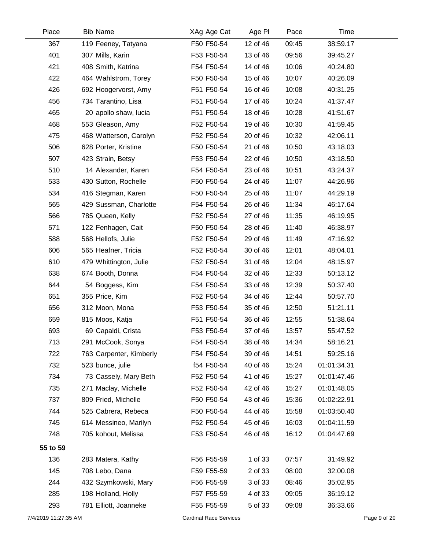| Place                | <b>Bib Name</b>         | XAg Age Cat                   | Age PI   | Pace  | Time        |              |
|----------------------|-------------------------|-------------------------------|----------|-------|-------------|--------------|
| 367                  | 119 Feeney, Tatyana     | F50 F50-54                    | 12 of 46 | 09:45 | 38:59.17    |              |
| 401                  | 307 Mills, Karin        | F53 F50-54                    | 13 of 46 | 09:56 | 39:45.27    |              |
| 421                  | 408 Smith, Katrina      | F54 F50-54                    | 14 of 46 | 10:06 | 40:24.80    |              |
| 422                  | 464 Wahlstrom, Torey    | F50 F50-54                    | 15 of 46 | 10:07 | 40:26.09    |              |
| 426                  | 692 Hoogervorst, Amy    | F51 F50-54                    | 16 of 46 | 10:08 | 40:31.25    |              |
| 456                  | 734 Tarantino, Lisa     | F51 F50-54                    | 17 of 46 | 10:24 | 41:37.47    |              |
| 465                  | 20 apollo shaw, lucia   | F51 F50-54                    | 18 of 46 | 10:28 | 41:51.67    |              |
| 468                  | 553 Gleason, Amy        | F52 F50-54                    | 19 of 46 | 10:30 | 41:59.45    |              |
| 475                  | 468 Watterson, Carolyn  | F52 F50-54                    | 20 of 46 | 10:32 | 42:06.11    |              |
| 506                  | 628 Porter, Kristine    | F50 F50-54                    | 21 of 46 | 10:50 | 43:18.03    |              |
| 507                  | 423 Strain, Betsy       | F53 F50-54                    | 22 of 46 | 10:50 | 43:18.50    |              |
| 510                  | 14 Alexander, Karen     | F54 F50-54                    | 23 of 46 | 10:51 | 43:24.37    |              |
| 533                  | 430 Sutton, Rochelle    | F50 F50-54                    | 24 of 46 | 11:07 | 44:26.96    |              |
| 534                  | 416 Stegman, Karen      | F50 F50-54                    | 25 of 46 | 11:07 | 44:29.19    |              |
| 565                  | 429 Sussman, Charlotte  | F54 F50-54                    | 26 of 46 | 11:34 | 46:17.64    |              |
| 566                  | 785 Queen, Kelly        | F52 F50-54                    | 27 of 46 | 11:35 | 46:19.95    |              |
| 571                  | 122 Fenhagen, Cait      | F50 F50-54                    | 28 of 46 | 11:40 | 46:38.97    |              |
| 588                  | 568 Hellofs, Julie      | F52 F50-54                    | 29 of 46 | 11:49 | 47:16.92    |              |
| 606                  | 565 Heafner, Tricia     | F52 F50-54                    | 30 of 46 | 12:01 | 48:04.01    |              |
| 610                  | 479 Whittington, Julie  | F52 F50-54                    | 31 of 46 | 12:04 | 48:15.97    |              |
| 638                  | 674 Booth, Donna        | F54 F50-54                    | 32 of 46 | 12:33 | 50:13.12    |              |
| 644                  | 54 Boggess, Kim         | F54 F50-54                    | 33 of 46 | 12:39 | 50:37.40    |              |
| 651                  | 355 Price, Kim          | F52 F50-54                    | 34 of 46 | 12:44 | 50:57.70    |              |
| 656                  | 312 Moon, Mona          | F53 F50-54                    | 35 of 46 | 12:50 | 51:21.11    |              |
| 659                  | 815 Moos, Katja         | F51 F50-54                    | 36 of 46 | 12:55 | 51:38.64    |              |
| 693                  | 69 Capaldi, Crista      | F53 F50-54                    | 37 of 46 | 13:57 | 55:47.52    |              |
| 713                  | 291 McCook, Sonya       | F54 F50-54                    | 38 of 46 | 14:34 | 58:16.21    |              |
| 722                  | 763 Carpenter, Kimberly | F54 F50-54                    | 39 of 46 | 14:51 | 59:25.16    |              |
| 732                  | 523 bunce, julie        | f54 F50-54                    | 40 of 46 | 15:24 | 01:01:34.31 |              |
| 734                  | 73 Cassely, Mary Beth   | F52 F50-54                    | 41 of 46 | 15:27 | 01:01:47.46 |              |
| 735                  | 271 Maclay, Michelle    | F52 F50-54                    | 42 of 46 | 15:27 | 01:01:48.05 |              |
| 737                  | 809 Fried, Michelle     | F50 F50-54                    | 43 of 46 | 15:36 | 01:02:22.91 |              |
| 744                  | 525 Cabrera, Rebeca     | F50 F50-54                    | 44 of 46 | 15:58 | 01:03:50.40 |              |
| 745                  | 614 Messineo, Marilyn   | F52 F50-54                    | 45 of 46 | 16:03 | 01:04:11.59 |              |
| 748                  | 705 kohout, Melissa     | F53 F50-54                    | 46 of 46 | 16:12 | 01:04:47.69 |              |
| 55 to 59             |                         |                               |          |       |             |              |
| 136                  | 283 Matera, Kathy       | F56 F55-59                    | 1 of 33  | 07:57 | 31:49.92    |              |
| 145                  | 708 Lebo, Dana          | F59 F55-59                    | 2 of 33  | 08:00 | 32:00.08    |              |
| 244                  | 432 Szymkowski, Mary    | F56 F55-59                    | 3 of 33  | 08:46 | 35:02.95    |              |
| 285                  | 198 Holland, Holly      | F57 F55-59                    | 4 of 33  | 09:05 | 36:19.12    |              |
| 293                  | 781 Elliott, Joanneke   | F55 F55-59                    | 5 of 33  | 09:08 | 36:33.66    |              |
| 7/4/2019 11:27:35 AM |                         | <b>Cardinal Race Services</b> |          |       |             | Page 9 of 20 |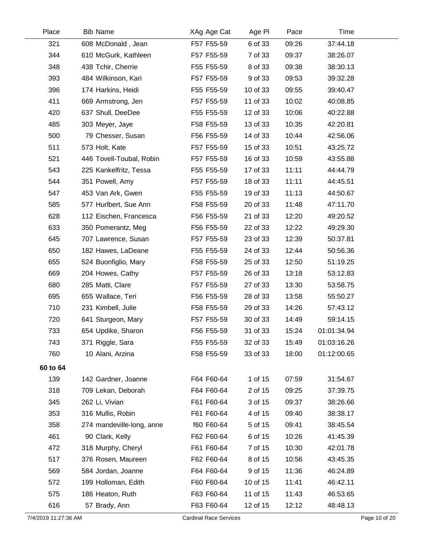| Place |          | <b>Bib Name</b>           | XAg Age Cat | Age PI   | Pace  | Time        |
|-------|----------|---------------------------|-------------|----------|-------|-------------|
|       | 321      | 608 McDonald, Jean        | F57 F55-59  | 6 of 33  | 09:26 | 37:44.18    |
|       | 344      | 610 McGurk, Kathleen      | F57 F55-59  | 7 of 33  | 09:37 | 38:26.07    |
|       | 348      | 438 Tchir, Cherrie        | F55 F55-59  | 8 of 33  | 09:38 | 38:30.13    |
|       | 393      | 484 Wilkinson, Kari       | F57 F55-59  | 9 of 33  | 09:53 | 39:32.28    |
|       | 396      | 174 Harkins, Heidi        | F55 F55-59  | 10 of 33 | 09:55 | 39:40.47    |
|       | 411      | 669 Armstrong, Jen        | F57 F55-59  | 11 of 33 | 10:02 | 40:08.85    |
|       | 420      | 637 Shull, DeeDee         | F55 F55-59  | 12 of 33 | 10:06 | 40:22.88    |
|       | 485      | 303 Meyer, Jaye           | F58 F55-59  | 13 of 33 | 10:35 | 42:20.81    |
|       | 500      | 79 Chesser, Susan         | F56 F55-59  | 14 of 33 | 10:44 | 42:56.06    |
|       | 511      | 573 Holt, Kate            | F57 F55-59  | 15 of 33 | 10:51 | 43:25.72    |
|       | 521      | 446 Tovell-Toubal, Robin  | F57 F55-59  | 16 of 33 | 10:59 | 43:55.88    |
|       | 543      | 225 Kankelfritz, Tessa    | F55 F55-59  | 17 of 33 | 11:11 | 44:44.79    |
|       | 544      | 351 Powell, Amy           | F57 F55-59  | 18 of 33 | 11:11 | 44:45.51    |
|       | 547      | 453 Van Ark, Gwen         | F55 F55-59  | 19 of 33 | 11:13 | 44:50.67    |
|       | 585      | 577 Hurlbert, Sue Ann     | F58 F55-59  | 20 of 33 | 11:48 | 47:11.70    |
|       | 628      | 112 Eischen, Francesca    | F56 F55-59  | 21 of 33 | 12:20 | 49:20.52    |
|       | 633      | 350 Pomerantz, Meg        | F56 F55-59  | 22 of 33 | 12:22 | 49:29.30    |
|       | 645      | 707 Lawrence, Susan       | F57 F55-59  | 23 of 33 | 12:39 | 50:37.81    |
|       | 650      | 182 Hawes, LaDeane        | F55 F55-59  | 24 of 33 | 12:44 | 50:56.36    |
|       | 655      | 524 Buonfiglio, Mary      | F58 F55-59  | 25 of 33 | 12:50 | 51:19.25    |
|       | 669      | 204 Howes, Cathy          | F57 F55-59  | 26 of 33 | 13:18 | 53:12.83    |
|       | 680      | 285 Matti, Clare          | F57 F55-59  | 27 of 33 | 13:30 | 53:58.75    |
|       | 695      | 655 Wallace, Teri         | F56 F55-59  | 28 of 33 | 13:58 | 55:50.27    |
|       | 710      | 231 Kimbell, Julie        | F58 F55-59  | 29 of 33 | 14:26 | 57:43.12    |
|       | 720      | 641 Sturgeon, Mary        | F57 F55-59  | 30 of 33 | 14:49 | 59:14.15    |
|       | 733      | 654 Updike, Sharon        | F56 F55-59  | 31 of 33 | 15:24 | 01:01:34.94 |
|       | 743      | 371 Riggle, Sara          | F55 F55-59  | 32 of 33 | 15:49 | 01:03:16.26 |
|       | 760      | 10 Alani, Arzina          | F58 F55-59  | 33 of 33 | 18:00 | 01:12:00.65 |
|       | 60 to 64 |                           |             |          |       |             |
|       | 139      | 142 Gardner, Joanne       | F64 F60-64  | 1 of 15  | 07:59 | 31:54.67    |
|       | 318      | 709 Lekan, Deborah        | F64 F60-64  | 2 of 15  | 09:25 | 37:39.75    |
|       | 345      | 262 Li, Vivian            | F61 F60-64  | 3 of 15  | 09:37 | 38:26.66    |
|       | 353      | 316 Mullis, Robin         | F61 F60-64  | 4 of 15  | 09:40 | 38:38.17    |
|       | 358      | 274 mandeville-long, anne | f60 F60-64  | 5 of 15  | 09:41 | 38:45.54    |
|       | 461      | 90 Clark, Kelly           | F62 F60-64  | 6 of 15  | 10:26 | 41:45.39    |
|       | 472      | 318 Murphy, Cheryl        | F61 F60-64  | 7 of 15  | 10:30 | 42:01.78    |
|       | 517      | 376 Rosen, Maureen        | F62 F60-64  | 8 of 15  | 10:56 | 43:45.35    |
|       | 569      | 584 Jordan, Joanne        | F64 F60-64  | 9 of 15  | 11:36 | 46:24.89    |
|       | 572      | 199 Holloman, Edith       | F60 F60-64  | 10 of 15 | 11:41 | 46:42.11    |
|       | 575      | 186 Heaton, Ruth          | F63 F60-64  | 11 of 15 | 11:43 | 46:53.65    |
|       | 616      | 57 Brady, Ann             | F63 F60-64  | 12 of 15 | 12:12 | 48:48.13    |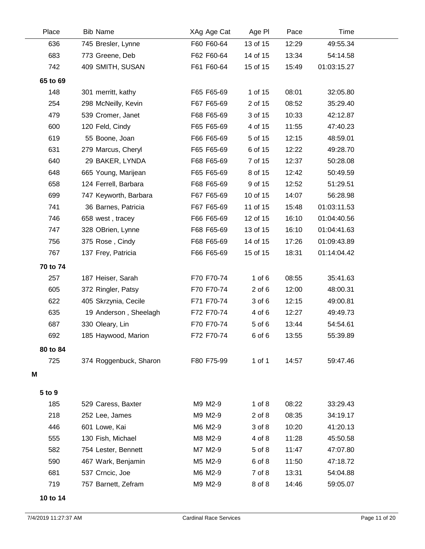| Place    | <b>Bib Name</b>        | XAg Age Cat | Age PI     | Pace  | Time        |  |
|----------|------------------------|-------------|------------|-------|-------------|--|
| 636      | 745 Bresler, Lynne     | F60 F60-64  | 13 of 15   | 12:29 | 49:55.34    |  |
| 683      | 773 Greene, Deb        | F62 F60-64  | 14 of 15   | 13:34 | 54:14.58    |  |
| 742      | 409 SMITH, SUSAN       | F61 F60-64  | 15 of 15   | 15:49 | 01:03:15.27 |  |
| 65 to 69 |                        |             |            |       |             |  |
| 148      | 301 merritt, kathy     | F65 F65-69  | 1 of 15    | 08:01 | 32:05.80    |  |
| 254      | 298 McNeilly, Kevin    | F67 F65-69  | 2 of 15    | 08:52 | 35:29.40    |  |
| 479      | 539 Cromer, Janet      | F68 F65-69  | 3 of 15    | 10:33 | 42:12.87    |  |
| 600      | 120 Feld, Cindy        | F65 F65-69  | 4 of 15    | 11:55 | 47:40.23    |  |
| 619      | 55 Boone, Joan         | F66 F65-69  | 5 of 15    | 12:15 | 48:59.01    |  |
| 631      | 279 Marcus, Cheryl     | F65 F65-69  | 6 of 15    | 12:22 | 49:28.70    |  |
| 640      | 29 BAKER, LYNDA        | F68 F65-69  | 7 of 15    | 12:37 | 50:28.08    |  |
| 648      | 665 Young, Marijean    | F65 F65-69  | 8 of 15    | 12:42 | 50:49.59    |  |
| 658      | 124 Ferrell, Barbara   | F68 F65-69  | 9 of 15    | 12:52 | 51:29.51    |  |
| 699      | 747 Keyworth, Barbara  | F67 F65-69  | 10 of 15   | 14:07 | 56:28.98    |  |
| 741      | 36 Barnes, Patricia    | F67 F65-69  | 11 of 15   | 15:48 | 01:03:11.53 |  |
| 746      | 658 west, tracey       | F66 F65-69  | 12 of 15   | 16:10 | 01:04:40.56 |  |
| 747      | 328 OBrien, Lynne      | F68 F65-69  | 13 of 15   | 16:10 | 01:04:41.63 |  |
| 756      | 375 Rose, Cindy        | F68 F65-69  | 14 of 15   | 17:26 | 01:09:43.89 |  |
| 767      | 137 Frey, Patricia     | F66 F65-69  | 15 of 15   | 18:31 | 01:14:04.42 |  |
| 70 to 74 |                        |             |            |       |             |  |
| 257      | 187 Heiser, Sarah      | F70 F70-74  | $1$ of $6$ | 08:55 | 35:41.63    |  |
| 605      | 372 Ringler, Patsy     | F70 F70-74  | $2$ of $6$ | 12:00 | 48:00.31    |  |
| 622      | 405 Skrzynia, Cecile   | F71 F70-74  | 3 of 6     | 12:15 | 49:00.81    |  |
| 635      | 19 Anderson, Sheelagh  | F72 F70-74  | 4 of 6     | 12:27 | 49:49.73    |  |
| 687      | 330 Oleary, Lin        | F70 F70-74  | 5 of 6     | 13:44 | 54:54.61    |  |
| 692      | 185 Haywood, Marion    | F72 F70-74  | 6 of 6     | 13:55 | 55:39.89    |  |
| 80 to 84 |                        |             |            |       |             |  |
| 725      | 374 Roggenbuck, Sharon | F80 F75-99  | 1 of 1     | 14:57 | 59:47.46    |  |
| M        |                        |             |            |       |             |  |
|          |                        |             |            |       |             |  |
| 5 to 9   |                        |             |            |       |             |  |
| 185      | 529 Caress, Baxter     | M9 M2-9     | $1$ of $8$ | 08:22 | 33:29.43    |  |
| 218      | 252 Lee, James         | M9 M2-9     | $2$ of $8$ | 08:35 | 34:19.17    |  |
| 446      | 601 Lowe, Kai          | M6 M2-9     | 3 of 8     | 10:20 | 41:20.13    |  |
| 555      | 130 Fish, Michael      | M8 M2-9     | 4 of 8     | 11:28 | 45:50.58    |  |
| 582      | 754 Lester, Bennett    | M7 M2-9     | 5 of 8     | 11:47 | 47:07.80    |  |
| 590      | 467 Wark, Benjamin     | M5 M2-9     | 6 of 8     | 11:50 | 47:18.72    |  |
| 681      | 537 Crncic, Joe        | M6 M2-9     | 7 of 8     | 13:31 | 54:04.88    |  |
| 719      | 757 Barnett, Zefram    | M9 M2-9     | 8 of 8     | 14:46 | 59:05.07    |  |

**10 to 14**

L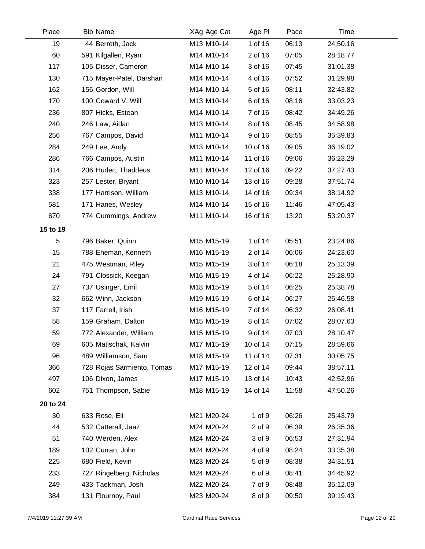| Place    | <b>Bib Name</b>            | XAg Age Cat | Age PI   | Pace  | Time     |  |
|----------|----------------------------|-------------|----------|-------|----------|--|
| 19       | 44 Berreth, Jack           | M13 M10-14  | 1 of 16  | 06:13 | 24:50.16 |  |
| 60       | 591 Kilgallen, Ryan        | M14 M10-14  | 2 of 16  | 07:05 | 28:18.77 |  |
| 117      | 105 Disser, Cameron        | M14 M10-14  | 3 of 16  | 07:45 | 31:01.38 |  |
| 130      | 715 Mayer-Patel, Darshan   | M14 M10-14  | 4 of 16  | 07:52 | 31:29.98 |  |
| 162      | 156 Gordon, Will           | M14 M10-14  | 5 of 16  | 08:11 | 32:43.82 |  |
| 170      | 100 Coward V, Will         | M13 M10-14  | 6 of 16  | 08:16 | 33:03.23 |  |
| 236      | 807 Hicks, Estean          | M14 M10-14  | 7 of 16  | 08:42 | 34:49.26 |  |
| 240      | 246 Law, Aidan             | M13 M10-14  | 8 of 16  | 08:45 | 34:58.98 |  |
| 256      | 767 Campos, David          | M11 M10-14  | 9 of 16  | 08:55 | 35:39.83 |  |
| 284      | 249 Lee, Andy              | M13 M10-14  | 10 of 16 | 09:05 | 36:19.02 |  |
| 286      | 766 Campos, Austin         | M11 M10-14  | 11 of 16 | 09:06 | 36:23.29 |  |
| 314      | 206 Hudec, Thaddeus        | M11 M10-14  | 12 of 16 | 09:22 | 37:27.43 |  |
| 323      | 257 Lester, Bryant         | M10 M10-14  | 13 of 16 | 09:28 | 37:51.74 |  |
| 338      | 177 Harrison, William      | M13 M10-14  | 14 of 16 | 09:34 | 38:14.92 |  |
| 581      | 171 Hanes, Wesley          | M14 M10-14  | 15 of 16 | 11:46 | 47:05.43 |  |
| 670      | 774 Cummings, Andrew       | M11 M10-14  | 16 of 16 | 13:20 | 53:20.37 |  |
| 15 to 19 |                            |             |          |       |          |  |
| 5        | 796 Baker, Quinn           | M15 M15-19  | 1 of 14  | 05:51 | 23:24.86 |  |
| 15       | 788 Eheman, Kenneth        | M16 M15-19  | 2 of 14  | 06:06 | 24:23.60 |  |
| 21       | 475 Westman, Riley         | M15 M15-19  | 3 of 14  | 06:18 | 25:13.39 |  |
| 24       | 791 Clossick, Keegan       | M16 M15-19  | 4 of 14  | 06:22 | 25:28.90 |  |
| 27       | 737 Usinger, Emil          | M18 M15-19  | 5 of 14  | 06:25 | 25:38.78 |  |
| 32       | 662 Winn, Jackson          | M19 M15-19  | 6 of 14  | 06:27 | 25:46.58 |  |
| 37       | 117 Farrell, Irish         | M16 M15-19  | 7 of 14  | 06:32 | 26:08.41 |  |
| 58       | 159 Graham, Dalton         | M15 M15-19  | 8 of 14  | 07:02 | 28:07.63 |  |
| 59       | 772 Alexander, William     | M15 M15-19  | 9 of 14  | 07:03 | 28:10.47 |  |
| 69       | 605 Matischak, Kalvin      | M17 M15-19  | 10 of 14 | 07:15 | 28:59.66 |  |
| 96       | 489 Williamson, Sam        | M18 M15-19  | 11 of 14 | 07:31 | 30:05.75 |  |
| 366      | 728 Rojas Sarmiento, Tomas | M17 M15-19  | 12 of 14 | 09:44 | 38:57.11 |  |
| 497      | 106 Dixon, James           | M17 M15-19  | 13 of 14 | 10:43 | 42:52.96 |  |
| 602      | 751 Thompson, Sabie        | M18 M15-19  | 14 of 14 | 11:58 | 47:50.26 |  |
| 20 to 24 |                            |             |          |       |          |  |
| 30       | 633 Rose, Eli              | M21 M20-24  | 1 of 9   | 06:26 | 25:43.79 |  |
| 44       | 532 Catterall, Jaaz        | M24 M20-24  | 2 of 9   | 06:39 | 26:35.36 |  |
| 51       | 740 Werden, Alex           | M24 M20-24  | 3 of 9   | 06:53 | 27:31.94 |  |
| 189      | 102 Curran, John           | M24 M20-24  | 4 of 9   | 08:24 | 33:35.38 |  |
| 225      | 680 Field, Kevin           | M23 M20-24  | 5 of 9   | 08:38 | 34:31.51 |  |
| 233      | 727 Ringelberg, Nicholas   | M24 M20-24  | 6 of 9   | 08:41 | 34:45.92 |  |
| 249      | 433 Taekman, Josh          | M22 M20-24  | 7 of 9   | 08:48 | 35:12.09 |  |
| 384      | 131 Flournoy, Paul         | M23 M20-24  | 8 of 9   | 09:50 | 39:19.43 |  |
|          |                            |             |          |       |          |  |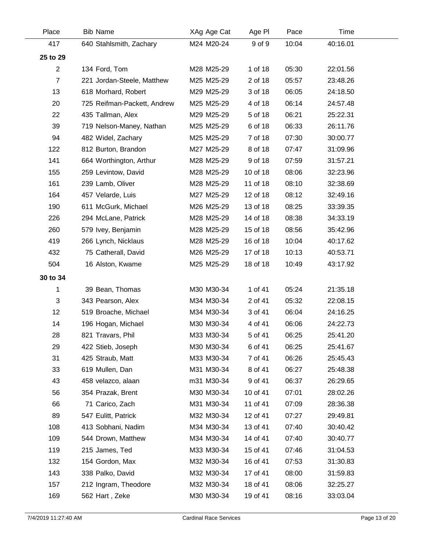| Place          | <b>Bib Name</b>             | XAg Age Cat | Age PI   | Pace  | Time     |  |
|----------------|-----------------------------|-------------|----------|-------|----------|--|
| 417            | 640 Stahlsmith, Zachary     | M24 M20-24  | 9 of 9   | 10:04 | 40:16.01 |  |
| 25 to 29       |                             |             |          |       |          |  |
| $\overline{2}$ | 134 Ford, Tom               | M28 M25-29  | 1 of 18  | 05:30 | 22:01.56 |  |
| $\overline{7}$ | 221 Jordan-Steele, Matthew  | M25 M25-29  | 2 of 18  | 05:57 | 23:48.26 |  |
| 13             | 618 Morhard, Robert         | M29 M25-29  | 3 of 18  | 06:05 | 24:18.50 |  |
| 20             | 725 Reifman-Packett, Andrew | M25 M25-29  | 4 of 18  | 06:14 | 24:57.48 |  |
| 22             | 435 Tallman, Alex           | M29 M25-29  | 5 of 18  | 06:21 | 25:22.31 |  |
| 39             | 719 Nelson-Maney, Nathan    | M25 M25-29  | 6 of 18  | 06:33 | 26:11.76 |  |
| 94             | 482 Widel, Zachary          | M25 M25-29  | 7 of 18  | 07:30 | 30:00.77 |  |
| 122            | 812 Burton, Brandon         | M27 M25-29  | 8 of 18  | 07:47 | 31:09.96 |  |
| 141            | 664 Worthington, Arthur     | M28 M25-29  | 9 of 18  | 07:59 | 31:57.21 |  |
| 155            | 259 Levintow, David         | M28 M25-29  | 10 of 18 | 08:06 | 32:23.96 |  |
| 161            | 239 Lamb, Oliver            | M28 M25-29  | 11 of 18 | 08:10 | 32:38.69 |  |
| 164            | 457 Velarde, Luis           | M27 M25-29  | 12 of 18 | 08:12 | 32:49.16 |  |
| 190            | 611 McGurk, Michael         | M26 M25-29  | 13 of 18 | 08:25 | 33:39.35 |  |
| 226            | 294 McLane, Patrick         | M28 M25-29  | 14 of 18 | 08:38 | 34:33.19 |  |
| 260            | 579 Ivey, Benjamin          | M28 M25-29  | 15 of 18 | 08:56 | 35:42.96 |  |
| 419            | 266 Lynch, Nicklaus         | M28 M25-29  | 16 of 18 | 10:04 | 40:17.62 |  |
| 432            | 75 Catherall, David         | M26 M25-29  | 17 of 18 | 10:13 | 40:53.71 |  |
| 504            | 16 Alston, Kwame            | M25 M25-29  | 18 of 18 | 10:49 | 43:17.92 |  |
| 30 to 34       |                             |             |          |       |          |  |
| 1              | 39 Bean, Thomas             | M30 M30-34  | 1 of 41  | 05:24 | 21:35.18 |  |
| 3              | 343 Pearson, Alex           | M34 M30-34  | 2 of 41  | 05:32 | 22:08.15 |  |
| 12             | 519 Broache, Michael        | M34 M30-34  | 3 of 41  | 06:04 | 24:16.25 |  |
| 14             | 196 Hogan, Michael          | M30 M30-34  | 4 of 41  | 06:06 | 24:22.73 |  |
| 28             | 821 Travars, Phil           | M33 M30-34  | 5 of 41  | 06:25 | 25:41.20 |  |
| 29             | 422 Stieb, Joseph           | M30 M30-34  | 6 of 41  | 06:25 | 25:41.67 |  |
| 31             | 425 Straub, Matt            | M33 M30-34  | 7 of 41  | 06:26 | 25:45.43 |  |
| 33             | 619 Mullen, Dan             | M31 M30-34  | 8 of 41  | 06:27 | 25:48.38 |  |
| 43             | 458 velazco, alaan          | m31 M30-34  | 9 of 41  | 06:37 | 26:29.65 |  |
| 56             | 354 Prazak, Brent           | M30 M30-34  | 10 of 41 | 07:01 | 28:02.26 |  |
| 66             | 71 Carico, Zach             | M31 M30-34  | 11 of 41 | 07:09 | 28:36.38 |  |
| 89             | 547 Eulitt, Patrick         | M32 M30-34  | 12 of 41 | 07:27 | 29:49.81 |  |
| 108            | 413 Sobhani, Nadim          | M34 M30-34  | 13 of 41 | 07:40 | 30:40.42 |  |
| 109            | 544 Drown, Matthew          | M34 M30-34  | 14 of 41 | 07:40 | 30:40.77 |  |
| 119            | 215 James, Ted              | M33 M30-34  | 15 of 41 | 07:46 | 31:04.53 |  |
| 132            | 154 Gordon, Max             | M32 M30-34  | 16 of 41 | 07:53 | 31:30.83 |  |
| 143            | 338 Palko, David            | M32 M30-34  | 17 of 41 | 08:00 | 31:59.83 |  |
| 157            | 212 Ingram, Theodore        | M32 M30-34  | 18 of 41 | 08:06 | 32:25.27 |  |
| 169            | 562 Hart, Zeke              | M30 M30-34  | 19 of 41 | 08:16 | 33:03.04 |  |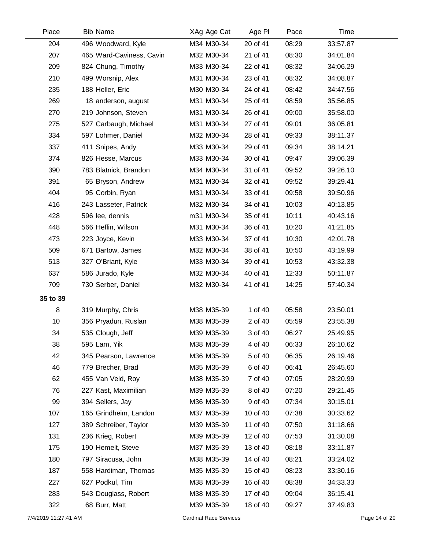| Place    | <b>Bib Name</b>          | XAg Age Cat | Age PI   | Pace  | Time     |  |
|----------|--------------------------|-------------|----------|-------|----------|--|
| 204      | 496 Woodward, Kyle       | M34 M30-34  | 20 of 41 | 08:29 | 33:57.87 |  |
| 207      | 465 Ward-Caviness, Cavin | M32 M30-34  | 21 of 41 | 08:30 | 34:01.84 |  |
| 209      | 824 Chung, Timothy       | M33 M30-34  | 22 of 41 | 08:32 | 34:06.29 |  |
| 210      | 499 Worsnip, Alex        | M31 M30-34  | 23 of 41 | 08:32 | 34:08.87 |  |
| 235      | 188 Heller, Eric         | M30 M30-34  | 24 of 41 | 08:42 | 34:47.56 |  |
| 269      | 18 anderson, august      | M31 M30-34  | 25 of 41 | 08:59 | 35:56.85 |  |
| 270      | 219 Johnson, Steven      | M31 M30-34  | 26 of 41 | 09:00 | 35:58.00 |  |
| 275      | 527 Carbaugh, Michael    | M31 M30-34  | 27 of 41 | 09:01 | 36:05.81 |  |
| 334      | 597 Lohmer, Daniel       | M32 M30-34  | 28 of 41 | 09:33 | 38:11.37 |  |
| 337      | 411 Snipes, Andy         | M33 M30-34  | 29 of 41 | 09:34 | 38:14.21 |  |
| 374      | 826 Hesse, Marcus        | M33 M30-34  | 30 of 41 | 09:47 | 39:06.39 |  |
| 390      | 783 Blatnick, Brandon    | M34 M30-34  | 31 of 41 | 09:52 | 39:26.10 |  |
| 391      | 65 Bryson, Andrew        | M31 M30-34  | 32 of 41 | 09:52 | 39:29.41 |  |
| 404      | 95 Corbin, Ryan          | M31 M30-34  | 33 of 41 | 09:58 | 39:50.96 |  |
| 416      | 243 Lasseter, Patrick    | M32 M30-34  | 34 of 41 | 10:03 | 40:13.85 |  |
| 428      | 596 lee, dennis          | m31 M30-34  | 35 of 41 | 10:11 | 40:43.16 |  |
| 448      | 566 Heflin, Wilson       | M31 M30-34  | 36 of 41 | 10:20 | 41:21.85 |  |
| 473      | 223 Joyce, Kevin         | M33 M30-34  | 37 of 41 | 10:30 | 42:01.78 |  |
| 509      | 671 Bartow, James        | M32 M30-34  | 38 of 41 | 10:50 | 43:19.99 |  |
| 513      | 327 O'Briant, Kyle       | M33 M30-34  | 39 of 41 | 10:53 | 43:32.38 |  |
| 637      | 586 Jurado, Kyle         | M32 M30-34  | 40 of 41 | 12:33 | 50:11.87 |  |
| 709      | 730 Serber, Daniel       | M32 M30-34  | 41 of 41 | 14:25 | 57:40.34 |  |
| 35 to 39 |                          |             |          |       |          |  |
| 8        | 319 Murphy, Chris        | M38 M35-39  | 1 of 40  | 05:58 | 23:50.01 |  |
| 10       | 356 Pryadun, Ruslan      | M38 M35-39  | 2 of 40  | 05:59 | 23:55.38 |  |
| 34       | 535 Clough, Jeff         | M39 M35-39  | 3 of 40  | 06:27 | 25:49.95 |  |
| 38       | 595 Lam, Yik             | M38 M35-39  | 4 of 40  | 06:33 | 26:10.62 |  |
| 42       | 345 Pearson, Lawrence    | M36 M35-39  | 5 of 40  | 06:35 | 26:19.46 |  |
| 46       | 779 Brecher, Brad        | M35 M35-39  | 6 of 40  | 06:41 | 26:45.60 |  |
| 62       | 455 Van Veld, Roy        | M38 M35-39  | 7 of 40  | 07:05 | 28:20.99 |  |
| 76       | 227 Kast, Maximilian     | M39 M35-39  | 8 of 40  | 07:20 | 29:21.45 |  |
| 99       | 394 Sellers, Jay         | M36 M35-39  | 9 of 40  | 07:34 | 30:15.01 |  |
| 107      | 165 Grindheim, Landon    | M37 M35-39  | 10 of 40 | 07:38 | 30:33.62 |  |
| 127      | 389 Schreiber, Taylor    | M39 M35-39  | 11 of 40 | 07:50 | 31:18.66 |  |
| 131      | 236 Krieg, Robert        | M39 M35-39  | 12 of 40 | 07:53 | 31:30.08 |  |
| 175      | 190 Hemelt, Steve        | M37 M35-39  | 13 of 40 | 08:18 | 33:11.87 |  |
| 180      | 797 Siracusa, John       | M38 M35-39  | 14 of 40 | 08:21 | 33:24.02 |  |
| 187      | 558 Hardiman, Thomas     | M35 M35-39  | 15 of 40 | 08:23 | 33:30.16 |  |
| 227      | 627 Podkul, Tim          | M38 M35-39  | 16 of 40 | 08:38 | 34:33.33 |  |
| 283      | 543 Douglass, Robert     | M38 M35-39  | 17 of 40 | 09:04 | 36:15.41 |  |
| 322      | 68 Burr, Matt            | M39 M35-39  | 18 of 40 | 09:27 | 37:49.83 |  |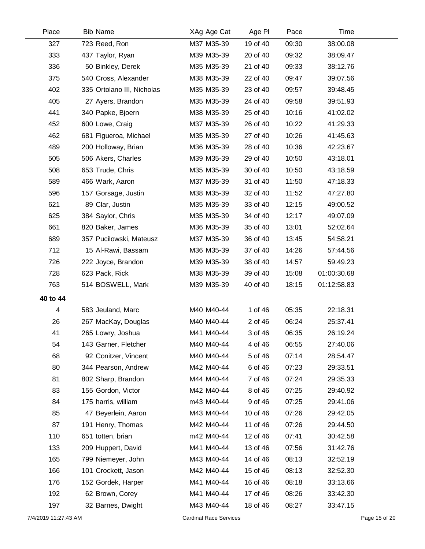| Place    | <b>Bib Name</b>            | XAg Age Cat | Age PI   | Pace  | Time        |  |
|----------|----------------------------|-------------|----------|-------|-------------|--|
| 327      | 723 Reed, Ron              | M37 M35-39  | 19 of 40 | 09:30 | 38:00.08    |  |
| 333      | 437 Taylor, Ryan           | M39 M35-39  | 20 of 40 | 09:32 | 38:09.47    |  |
| 336      | 50 Binkley, Derek          | M35 M35-39  | 21 of 40 | 09:33 | 38:12.76    |  |
| 375      | 540 Cross, Alexander       | M38 M35-39  | 22 of 40 | 09:47 | 39:07.56    |  |
| 402      | 335 Ortolano III, Nicholas | M35 M35-39  | 23 of 40 | 09:57 | 39:48.45    |  |
| 405      | 27 Ayers, Brandon          | M35 M35-39  | 24 of 40 | 09:58 | 39:51.93    |  |
| 441      | 340 Papke, Bjoern          | M38 M35-39  | 25 of 40 | 10:16 | 41:02.02    |  |
| 452      | 600 Lowe, Craig            | M37 M35-39  | 26 of 40 | 10:22 | 41:29.33    |  |
| 462      | 681 Figueroa, Michael      | M35 M35-39  | 27 of 40 | 10:26 | 41:45.63    |  |
| 489      | 200 Holloway, Brian        | M36 M35-39  | 28 of 40 | 10:36 | 42:23.67    |  |
| 505      | 506 Akers, Charles         | M39 M35-39  | 29 of 40 | 10:50 | 43:18.01    |  |
| 508      | 653 Trude, Chris           | M35 M35-39  | 30 of 40 | 10:50 | 43:18.59    |  |
| 589      | 466 Wark, Aaron            | M37 M35-39  | 31 of 40 | 11:50 | 47:18.33    |  |
| 596      | 157 Gorsage, Justin        | M38 M35-39  | 32 of 40 | 11:52 | 47:27.80    |  |
| 621      | 89 Clar, Justin            | M35 M35-39  | 33 of 40 | 12:15 | 49:00.52    |  |
| 625      | 384 Saylor, Chris          | M35 M35-39  | 34 of 40 | 12:17 | 49:07.09    |  |
| 661      | 820 Baker, James           | M36 M35-39  | 35 of 40 | 13:01 | 52:02.64    |  |
| 689      | 357 Pucilowski, Mateusz    | M37 M35-39  | 36 of 40 | 13:45 | 54:58.21    |  |
| 712      | 15 Al-Rawi, Bassam         | M36 M35-39  | 37 of 40 | 14:26 | 57:44.56    |  |
| 726      | 222 Joyce, Brandon         | M39 M35-39  | 38 of 40 | 14:57 | 59:49.23    |  |
| 728      | 623 Pack, Rick             | M38 M35-39  | 39 of 40 | 15:08 | 01:00:30.68 |  |
| 763      | 514 BOSWELL, Mark          | M39 M35-39  | 40 of 40 | 18:15 | 01:12:58.83 |  |
| 40 to 44 |                            |             |          |       |             |  |
| 4        | 583 Jeuland, Marc          | M40 M40-44  | 1 of 46  | 05:35 | 22:18.31    |  |
| 26       | 267 MacKay, Douglas        | M40 M40-44  | 2 of 46  | 06:24 | 25:37.41    |  |
| 41       | 265 Lowry, Joshua          | M41 M40-44  | 3 of 46  | 06:35 | 26:19.24    |  |
| 54       | 143 Garner, Fletcher       | M40 M40-44  | 4 of 46  | 06:55 | 27:40.06    |  |
| 68       | 92 Conitzer, Vincent       | M40 M40-44  | 5 of 46  | 07:14 | 28:54.47    |  |
| 80       | 344 Pearson, Andrew        | M42 M40-44  | 6 of 46  | 07:23 | 29:33.51    |  |
| 81       | 802 Sharp, Brandon         | M44 M40-44  | 7 of 46  | 07:24 | 29:35.33    |  |
| 83       | 155 Gordon, Victor         | M42 M40-44  | 8 of 46  | 07:25 | 29:40.92    |  |
| 84       | 175 harris, william        | m43 M40-44  | 9 of 46  | 07:25 | 29:41.06    |  |
| 85       | 47 Beyerlein, Aaron        | M43 M40-44  | 10 of 46 | 07:26 | 29:42.05    |  |
| 87       | 191 Henry, Thomas          | M42 M40-44  | 11 of 46 | 07:26 | 29:44.50    |  |
| 110      | 651 totten, brian          | m42 M40-44  | 12 of 46 | 07:41 | 30:42.58    |  |
| 133      | 209 Huppert, David         | M41 M40-44  | 13 of 46 | 07:56 | 31:42.76    |  |
| 165      | 799 Niemeyer, John         | M43 M40-44  | 14 of 46 | 08:13 | 32:52.19    |  |
| 166      | 101 Crockett, Jason        | M42 M40-44  | 15 of 46 | 08:13 | 32:52.30    |  |
| 176      | 152 Gordek, Harper         | M41 M40-44  | 16 of 46 | 08:18 | 33:13.66    |  |
| 192      | 62 Brown, Corey            | M41 M40-44  | 17 of 46 | 08:26 | 33:42.30    |  |
| 197      | 32 Barnes, Dwight          | M43 M40-44  | 18 of 46 | 08:27 | 33:47.15    |  |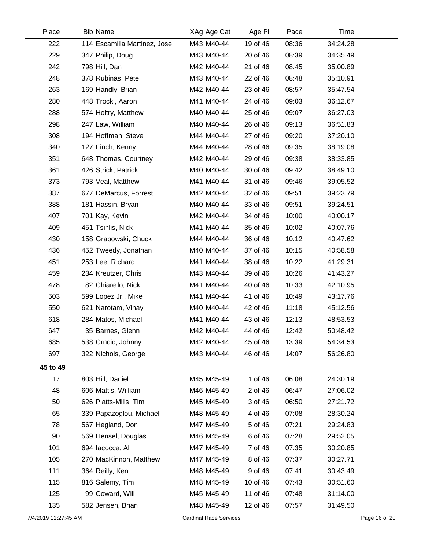| Place                | <b>Bib Name</b>              | XAg Age Cat                   | Age PI   | Pace  | Time     |               |
|----------------------|------------------------------|-------------------------------|----------|-------|----------|---------------|
| 222                  | 114 Escamilla Martinez, Jose | M43 M40-44                    | 19 of 46 | 08:36 | 34:24.28 |               |
| 229                  | 347 Philip, Doug             | M43 M40-44                    | 20 of 46 | 08:39 | 34:35.49 |               |
| 242                  | 798 Hill, Dan                | M42 M40-44                    | 21 of 46 | 08:45 | 35:00.89 |               |
| 248                  | 378 Rubinas, Pete            | M43 M40-44                    | 22 of 46 | 08:48 | 35:10.91 |               |
| 263                  | 169 Handly, Brian            | M42 M40-44                    | 23 of 46 | 08:57 | 35:47.54 |               |
| 280                  | 448 Trocki, Aaron            | M41 M40-44                    | 24 of 46 | 09:03 | 36:12.67 |               |
| 288                  | 574 Holtry, Matthew          | M40 M40-44                    | 25 of 46 | 09:07 | 36:27.03 |               |
| 298                  | 247 Law, William             | M40 M40-44                    | 26 of 46 | 09:13 | 36:51.83 |               |
| 308                  | 194 Hoffman, Steve           | M44 M40-44                    | 27 of 46 | 09:20 | 37:20.10 |               |
| 340                  | 127 Finch, Kenny             | M44 M40-44                    | 28 of 46 | 09:35 | 38:19.08 |               |
| 351                  | 648 Thomas, Courtney         | M42 M40-44                    | 29 of 46 | 09:38 | 38:33.85 |               |
| 361                  | 426 Strick, Patrick          | M40 M40-44                    | 30 of 46 | 09:42 | 38:49.10 |               |
| 373                  | 793 Veal, Matthew            | M41 M40-44                    | 31 of 46 | 09:46 | 39:05.52 |               |
| 387                  | 677 DeMarcus, Forrest        | M42 M40-44                    | 32 of 46 | 09:51 | 39:23.79 |               |
| 388                  | 181 Hassin, Bryan            | M40 M40-44                    | 33 of 46 | 09:51 | 39:24.51 |               |
| 407                  | 701 Kay, Kevin               | M42 M40-44                    | 34 of 46 | 10:00 | 40:00.17 |               |
| 409                  | 451 Tsihlis, Nick            | M41 M40-44                    | 35 of 46 | 10:02 | 40:07.76 |               |
| 430                  | 158 Grabowski, Chuck         | M44 M40-44                    | 36 of 46 | 10:12 | 40:47.62 |               |
| 436                  | 452 Tweedy, Jonathan         | M40 M40-44                    | 37 of 46 | 10:15 | 40:58.58 |               |
| 451                  | 253 Lee, Richard             | M41 M40-44                    | 38 of 46 | 10:22 | 41:29.31 |               |
| 459                  | 234 Kreutzer, Chris          | M43 M40-44                    | 39 of 46 | 10:26 | 41:43.27 |               |
| 478                  | 82 Chiarello, Nick           | M41 M40-44                    | 40 of 46 | 10:33 | 42:10.95 |               |
| 503                  | 599 Lopez Jr., Mike          | M41 M40-44                    | 41 of 46 | 10:49 | 43:17.76 |               |
| 550                  | 621 Narotam, Vinay           | M40 M40-44                    | 42 of 46 | 11:18 | 45:12.56 |               |
| 618                  | 284 Matos, Michael           | M41 M40-44                    | 43 of 46 | 12:13 | 48:53.53 |               |
| 647                  | 35 Barnes, Glenn             | M42 M40-44                    | 44 of 46 | 12:42 | 50:48.42 |               |
| 685                  | 538 Crncic, Johnny           | M42 M40-44                    | 45 of 46 | 13:39 | 54:34.53 |               |
| 697                  | 322 Nichols, George          | M43 M40-44                    | 46 of 46 | 14:07 | 56:26.80 |               |
| 45 to 49             |                              |                               |          |       |          |               |
| 17                   | 803 Hill, Daniel             | M45 M45-49                    | 1 of 46  | 06:08 | 24:30.19 |               |
| 48                   | 606 Mattis, William          | M46 M45-49                    | 2 of 46  | 06:47 | 27:06.02 |               |
| 50                   | 626 Platts-Mills, Tim        | M45 M45-49                    | 3 of 46  | 06:50 | 27:21.72 |               |
| 65                   | 339 Papazoglou, Michael      | M48 M45-49                    | 4 of 46  | 07:08 | 28:30.24 |               |
| 78                   | 567 Hegland, Don             | M47 M45-49                    | 5 of 46  | 07:21 | 29:24.83 |               |
| 90                   | 569 Hensel, Douglas          | M46 M45-49                    | 6 of 46  | 07:28 | 29:52.05 |               |
| 101                  | 694 Iacocca, Al              | M47 M45-49                    | 7 of 46  | 07:35 | 30:20.85 |               |
| 105                  | 270 MacKinnon, Matthew       | M47 M45-49                    | 8 of 46  | 07:37 | 30:27.71 |               |
| 111                  | 364 Reilly, Ken              | M48 M45-49                    | 9 of 46  | 07:41 | 30:43.49 |               |
| 115                  | 816 Salemy, Tim              | M48 M45-49                    | 10 of 46 | 07:43 | 30:51.60 |               |
| 125                  | 99 Coward, Will              | M45 M45-49                    | 11 of 46 | 07:48 | 31:14.00 |               |
| 135                  | 582 Jensen, Brian            | M48 M45-49                    | 12 of 46 | 07:57 | 31:49.50 |               |
| 7/4/2019 11:27:45 AM |                              | <b>Cardinal Race Services</b> |          |       |          | Page 16 of 20 |

 $\mathbb{R}^2$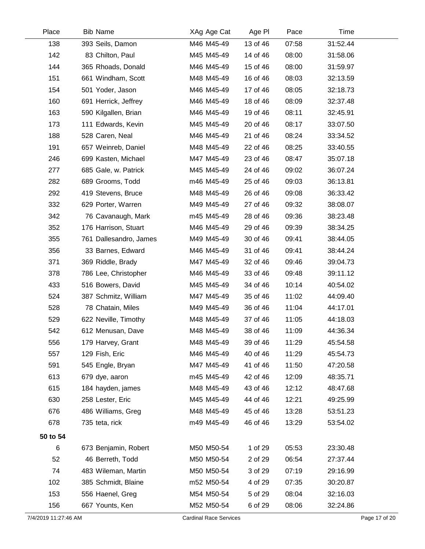| Place                | <b>Bib Name</b>        | XAg Age Cat                   | Age PI   | Pace  | Time     |               |
|----------------------|------------------------|-------------------------------|----------|-------|----------|---------------|
| 138                  | 393 Seils, Damon       | M46 M45-49                    | 13 of 46 | 07:58 | 31:52.44 |               |
| 142                  | 83 Chilton, Paul       | M45 M45-49                    | 14 of 46 | 08:00 | 31:58.06 |               |
| 144                  | 365 Rhoads, Donald     | M46 M45-49                    | 15 of 46 | 08:00 | 31:59.97 |               |
| 151                  | 661 Windham, Scott     | M48 M45-49                    | 16 of 46 | 08:03 | 32:13.59 |               |
| 154                  | 501 Yoder, Jason       | M46 M45-49                    | 17 of 46 | 08:05 | 32:18.73 |               |
| 160                  | 691 Herrick, Jeffrey   | M46 M45-49                    | 18 of 46 | 08:09 | 32:37.48 |               |
| 163                  | 590 Kilgallen, Brian   | M46 M45-49                    | 19 of 46 | 08:11 | 32:45.91 |               |
| 173                  | 111 Edwards, Kevin     | M45 M45-49                    | 20 of 46 | 08:17 | 33:07.50 |               |
| 188                  | 528 Caren, Neal        | M46 M45-49                    | 21 of 46 | 08:24 | 33:34.52 |               |
| 191                  | 657 Weinreb, Daniel    | M48 M45-49                    | 22 of 46 | 08:25 | 33:40.55 |               |
| 246                  | 699 Kasten, Michael    | M47 M45-49                    | 23 of 46 | 08:47 | 35:07.18 |               |
| 277                  | 685 Gale, w. Patrick   | M45 M45-49                    | 24 of 46 | 09:02 | 36:07.24 |               |
| 282                  | 689 Grooms, Todd       | m46 M45-49                    | 25 of 46 | 09:03 | 36:13.81 |               |
| 292                  | 419 Stevens, Bruce     | M48 M45-49                    | 26 of 46 | 09:08 | 36:33.42 |               |
| 332                  | 629 Porter, Warren     | M49 M45-49                    | 27 of 46 | 09:32 | 38:08.07 |               |
| 342                  | 76 Cavanaugh, Mark     | m45 M45-49                    | 28 of 46 | 09:36 | 38:23.48 |               |
| 352                  | 176 Harrison, Stuart   | M46 M45-49                    | 29 of 46 | 09:39 | 38:34.25 |               |
| 355                  | 761 Dallesandro, James | M49 M45-49                    | 30 of 46 | 09:41 | 38:44.05 |               |
| 356                  | 33 Barnes, Edward      | M46 M45-49                    | 31 of 46 | 09:41 | 38:44.24 |               |
| 371                  | 369 Riddle, Brady      | M47 M45-49                    | 32 of 46 | 09:46 | 39:04.73 |               |
| 378                  | 786 Lee, Christopher   | M46 M45-49                    | 33 of 46 | 09:48 | 39:11.12 |               |
| 433                  | 516 Bowers, David      | M45 M45-49                    | 34 of 46 | 10:14 | 40:54.02 |               |
| 524                  | 387 Schmitz, William   | M47 M45-49                    | 35 of 46 | 11:02 | 44:09.40 |               |
| 528                  | 78 Chatain, Miles      | M49 M45-49                    | 36 of 46 | 11:04 | 44:17.01 |               |
| 529                  | 622 Neville, Timothy   | M48 M45-49                    | 37 of 46 | 11:05 | 44:18.03 |               |
| 542                  | 612 Menusan, Dave      | M48 M45-49                    | 38 of 46 | 11:09 | 44:36.34 |               |
| 556                  | 179 Harvey, Grant      | M48 M45-49                    | 39 of 46 | 11:29 | 45:54.58 |               |
| 557                  | 129 Fish, Eric         | M46 M45-49                    | 40 of 46 | 11:29 | 45:54.73 |               |
| 591                  | 545 Engle, Bryan       | M47 M45-49                    | 41 of 46 | 11:50 | 47:20.58 |               |
| 613                  | 679 dye, aaron         | m45 M45-49                    | 42 of 46 | 12:09 | 48:35.71 |               |
| 615                  | 184 hayden, james      | M48 M45-49                    | 43 of 46 | 12:12 | 48:47.68 |               |
| 630                  | 258 Lester, Eric       | M45 M45-49                    | 44 of 46 | 12:21 | 49:25.99 |               |
| 676                  | 486 Williams, Greg     | M48 M45-49                    | 45 of 46 | 13:28 | 53:51.23 |               |
| 678                  | 735 teta, rick         | m49 M45-49                    | 46 of 46 | 13:29 | 53:54.02 |               |
| 50 to 54             |                        |                               |          |       |          |               |
| 6                    | 673 Benjamin, Robert   | M50 M50-54                    | 1 of 29  | 05:53 | 23:30.48 |               |
| 52                   | 46 Berreth, Todd       | M50 M50-54                    | 2 of 29  | 06:54 | 27:37.44 |               |
| 74                   | 483 Wileman, Martin    | M50 M50-54                    | 3 of 29  | 07:19 | 29:16.99 |               |
| 102                  | 385 Schmidt, Blaine    | m52 M50-54                    | 4 of 29  | 07:35 | 30:20.87 |               |
| 153                  | 556 Haenel, Greg       | M54 M50-54                    | 5 of 29  | 08:04 | 32:16.03 |               |
| 156                  | 667 Younts, Ken        | M52 M50-54                    | 6 of 29  | 08:06 | 32:24.86 |               |
| 7/4/2019 11:27:46 AM |                        | <b>Cardinal Race Services</b> |          |       |          | Page 17 of 20 |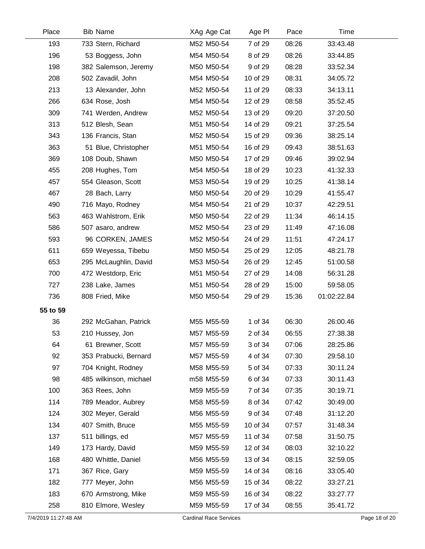| Place                | <b>Bib Name</b>        | XAg Age Cat                   | Age PI   | Pace  | Time        |               |
|----------------------|------------------------|-------------------------------|----------|-------|-------------|---------------|
| 193                  | 733 Stern, Richard     | M52 M50-54                    | 7 of 29  | 08:26 | 33:43.48    |               |
| 196                  | 53 Boggess, John       | M54 M50-54                    | 8 of 29  | 08:26 | 33:44.85    |               |
| 198                  | 382 Salemson, Jeremy   | M50 M50-54                    | 9 of 29  | 08:28 | 33:52.34    |               |
| 208                  | 502 Zavadil, John      | M54 M50-54                    | 10 of 29 | 08:31 | 34:05.72    |               |
| 213                  | 13 Alexander, John     | M52 M50-54                    | 11 of 29 | 08:33 | 34:13.11    |               |
| 266                  | 634 Rose, Josh         | M54 M50-54                    | 12 of 29 | 08:58 | 35:52.45    |               |
| 309                  | 741 Werden, Andrew     | M52 M50-54                    | 13 of 29 | 09:20 | 37:20.50    |               |
| 313                  | 512 Blesh, Sean        | M51 M50-54                    | 14 of 29 | 09:21 | 37:25.54    |               |
| 343                  | 136 Francis, Stan      | M52 M50-54                    | 15 of 29 | 09:36 | 38:25.14    |               |
| 363                  | 51 Blue, Christopher   | M51 M50-54                    | 16 of 29 | 09:43 | 38:51.63    |               |
| 369                  | 108 Doub, Shawn        | M50 M50-54                    | 17 of 29 | 09:46 | 39:02.94    |               |
| 455                  | 208 Hughes, Tom        | M54 M50-54                    | 18 of 29 | 10:23 | 41:32.33    |               |
| 457                  | 554 Gleason, Scott     | M53 M50-54                    | 19 of 29 | 10:25 | 41:38.14    |               |
| 467                  | 28 Bach, Larry         | M50 M50-54                    | 20 of 29 | 10:29 | 41:55.47    |               |
| 490                  | 716 Mayo, Rodney       | M54 M50-54                    | 21 of 29 | 10:37 | 42:29.51    |               |
| 563                  | 463 Wahlstrom, Erik    | M50 M50-54                    | 22 of 29 | 11:34 | 46:14.15    |               |
| 586                  | 507 asaro, andrew      | M52 M50-54                    | 23 of 29 | 11:49 | 47:16.08    |               |
| 593                  | 96 CORKEN, JAMES       | M52 M50-54                    | 24 of 29 | 11:51 | 47:24.17    |               |
| 611                  | 659 Weyessa, Tibebu    | M50 M50-54                    | 25 of 29 | 12:05 | 48:21.78    |               |
| 653                  | 295 McLaughlin, David  | M53 M50-54                    | 26 of 29 | 12:45 | 51:00.58    |               |
| 700                  | 472 Westdorp, Eric     | M51 M50-54                    | 27 of 29 | 14:08 | 56:31.28    |               |
| 727                  | 238 Lake, James        | M51 M50-54                    | 28 of 29 | 15:00 | 59:58.05    |               |
| 736                  | 808 Fried, Mike        | M50 M50-54                    | 29 of 29 | 15:36 | 01:02:22.84 |               |
| 55 to 59             |                        |                               |          |       |             |               |
| 36                   | 292 McGahan, Patrick   | M55 M55-59                    | 1 of 34  | 06:30 | 26:00.46    |               |
| 53                   | 210 Hussey, Jon        | M57 M55-59                    | 2 of 34  | 06:55 | 27:38.38    |               |
| 64                   | 61 Brewner, Scott      | M57 M55-59                    | 3 of 34  | 07:06 | 28:25.86    |               |
| 92                   | 353 Prabucki, Bernard  | M57 M55-59                    | 4 of 34  | 07:30 | 29:58.10    |               |
| 97                   | 704 Knight, Rodney     | M58 M55-59                    | 5 of 34  | 07:33 | 30:11.24    |               |
| 98                   | 485 wilkinson, michael | m58 M55-59                    | 6 of 34  | 07:33 | 30:11.43    |               |
| 100                  | 363 Rees, John         | M59 M55-59                    | 7 of 34  | 07:35 | 30:19.71    |               |
| 114                  | 789 Meador, Aubrey     | M58 M55-59                    | 8 of 34  | 07:42 | 30:49.00    |               |
| 124                  | 302 Meyer, Gerald      | M56 M55-59                    | 9 of 34  | 07:48 | 31:12.20    |               |
| 134                  | 407 Smith, Bruce       | M55 M55-59                    | 10 of 34 | 07:57 | 31:48.34    |               |
| 137                  | 511 billings, ed       | M57 M55-59                    | 11 of 34 | 07:58 | 31:50.75    |               |
| 149                  | 173 Hardy, David       | M59 M55-59                    | 12 of 34 | 08:03 | 32:10.22    |               |
| 168                  | 480 Whittle, Daniel    | M56 M55-59                    | 13 of 34 | 08:15 | 32:59.05    |               |
| 171                  | 367 Rice, Gary         | M59 M55-59                    | 14 of 34 | 08:16 | 33:05.40    |               |
| 182                  | 777 Meyer, John        | M56 M55-59                    | 15 of 34 | 08:22 | 33:27.21    |               |
| 183                  | 670 Armstrong, Mike    | M59 M55-59                    | 16 of 34 | 08:22 | 33:27.77    |               |
| 258                  | 810 Elmore, Wesley     | M59 M55-59                    | 17 of 34 | 08:55 | 35:41.72    |               |
| 7/4/2019 11:27:48 AM |                        | <b>Cardinal Race Services</b> |          |       |             | Page 18 of 20 |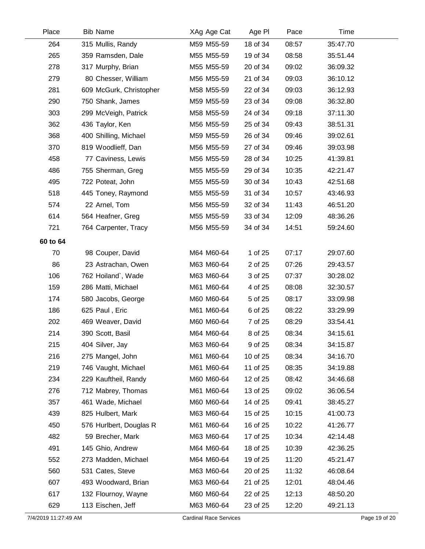| Place    | <b>Bib Name</b>         | XAg Age Cat | Age PI   | Pace  | Time     |  |
|----------|-------------------------|-------------|----------|-------|----------|--|
| 264      | 315 Mullis, Randy       | M59 M55-59  | 18 of 34 | 08:57 | 35:47.70 |  |
| 265      | 359 Ramsden, Dale       | M55 M55-59  | 19 of 34 | 08:58 | 35:51.44 |  |
| 278      | 317 Murphy, Brian       | M55 M55-59  | 20 of 34 | 09:02 | 36:09.32 |  |
| 279      | 80 Chesser, William     | M56 M55-59  | 21 of 34 | 09:03 | 36:10.12 |  |
| 281      | 609 McGurk, Christopher | M58 M55-59  | 22 of 34 | 09:03 | 36:12.93 |  |
| 290      | 750 Shank, James        | M59 M55-59  | 23 of 34 | 09:08 | 36:32.80 |  |
| 303      | 299 McVeigh, Patrick    | M58 M55-59  | 24 of 34 | 09:18 | 37:11.30 |  |
| 362      | 436 Taylor, Ken         | M56 M55-59  | 25 of 34 | 09:43 | 38:51.31 |  |
| 368      | 400 Shilling, Michael   | M59 M55-59  | 26 of 34 | 09:46 | 39:02.61 |  |
| 370      | 819 Woodlieff, Dan      | M56 M55-59  | 27 of 34 | 09:46 | 39:03.98 |  |
| 458      | 77 Caviness, Lewis      | M56 M55-59  | 28 of 34 | 10:25 | 41:39.81 |  |
| 486      | 755 Sherman, Greg       | M55 M55-59  | 29 of 34 | 10:35 | 42:21.47 |  |
| 495      | 722 Poteat, John        | M55 M55-59  | 30 of 34 | 10:43 | 42:51.68 |  |
| 518      | 445 Toney, Raymond      | M55 M55-59  | 31 of 34 | 10:57 | 43:46.93 |  |
| 574      | 22 Arnel, Tom           | M56 M55-59  | 32 of 34 | 11:43 | 46:51.20 |  |
| 614      | 564 Heafner, Greg       | M55 M55-59  | 33 of 34 | 12:09 | 48:36.26 |  |
| 721      | 764 Carpenter, Tracy    | M56 M55-59  | 34 of 34 | 14:51 | 59:24.60 |  |
| 60 to 64 |                         |             |          |       |          |  |
| 70       | 98 Couper, David        | M64 M60-64  | 1 of 25  | 07:17 | 29:07.60 |  |
| 86       | 23 Astrachan, Owen      | M63 M60-64  | 2 of 25  | 07:26 | 29:43.57 |  |
| 106      | 762 Hoiland`, Wade      | M63 M60-64  | 3 of 25  | 07:37 | 30:28.02 |  |
| 159      | 286 Matti, Michael      | M61 M60-64  | 4 of 25  | 08:08 | 32:30.57 |  |
| 174      | 580 Jacobs, George      | M60 M60-64  | 5 of 25  | 08:17 | 33:09.98 |  |
| 186      | 625 Paul, Eric          | M61 M60-64  | 6 of 25  | 08:22 | 33:29.99 |  |
| 202      | 469 Weaver, David       | M60 M60-64  | 7 of 25  | 08:29 | 33:54.41 |  |
| 214      | 390 Scott, Basil        | M64 M60-64  | 8 of 25  | 08:34 | 34:15.61 |  |
| 215      | 404 Silver, Jay         | M63 M60-64  | 9 of 25  | 08:34 | 34:15.87 |  |
| 216      | 275 Mangel, John        | M61 M60-64  | 10 of 25 | 08:34 | 34:16.70 |  |
| 219      | 746 Vaught, Michael     | M61 M60-64  | 11 of 25 | 08:35 | 34:19.88 |  |
| 234      | 229 Kauftheil, Randy    | M60 M60-64  | 12 of 25 | 08:42 | 34:46.68 |  |
| 276      | 712 Mabrey, Thomas      | M61 M60-64  | 13 of 25 | 09:02 | 36:06.54 |  |
| 357      | 461 Wade, Michael       | M60 M60-64  | 14 of 25 | 09:41 | 38:45.27 |  |
| 439      | 825 Hulbert, Mark       | M63 M60-64  | 15 of 25 | 10:15 | 41:00.73 |  |
| 450      | 576 Hurlbert, Douglas R | M61 M60-64  | 16 of 25 | 10:22 | 41:26.77 |  |
| 482      | 59 Brecher, Mark        | M63 M60-64  | 17 of 25 | 10:34 | 42:14.48 |  |
| 491      | 145 Ghio, Andrew        | M64 M60-64  | 18 of 25 | 10:39 | 42:36.25 |  |
| 552      | 273 Madden, Michael     | M64 M60-64  | 19 of 25 | 11:20 | 45:21.47 |  |
| 560      | 531 Cates, Steve        | M63 M60-64  | 20 of 25 | 11:32 | 46:08.64 |  |
| 607      | 493 Woodward, Brian     | M63 M60-64  | 21 of 25 | 12:01 | 48:04.46 |  |
| 617      | 132 Flournoy, Wayne     | M60 M60-64  | 22 of 25 | 12:13 | 48:50.20 |  |
| 629      | 113 Eischen, Jeff       | M63 M60-64  | 23 of 25 | 12:20 | 49:21.13 |  |